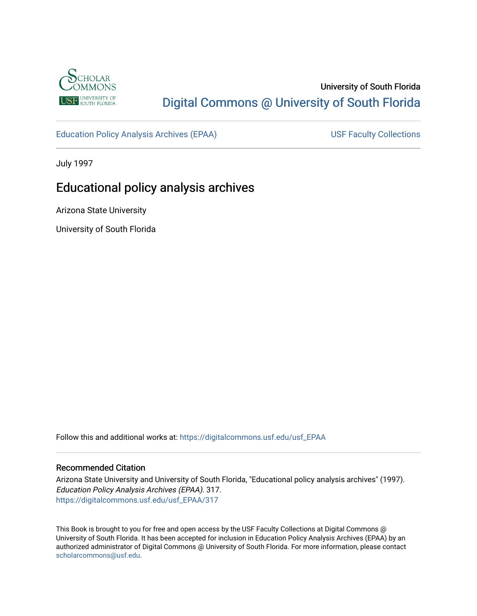

# University of South Florida [Digital Commons @ University of South Florida](https://digitalcommons.usf.edu/)

[Education Policy Analysis Archives \(EPAA\)](https://digitalcommons.usf.edu/usf_EPAA) USF Faculty Collections

July 1997

# Educational policy analysis archives

Arizona State University

University of South Florida

Follow this and additional works at: [https://digitalcommons.usf.edu/usf\\_EPAA](https://digitalcommons.usf.edu/usf_EPAA?utm_source=digitalcommons.usf.edu%2Fusf_EPAA%2F317&utm_medium=PDF&utm_campaign=PDFCoverPages)

### Recommended Citation

Arizona State University and University of South Florida, "Educational policy analysis archives" (1997). Education Policy Analysis Archives (EPAA). 317. [https://digitalcommons.usf.edu/usf\\_EPAA/317](https://digitalcommons.usf.edu/usf_EPAA/317?utm_source=digitalcommons.usf.edu%2Fusf_EPAA%2F317&utm_medium=PDF&utm_campaign=PDFCoverPages)

This Book is brought to you for free and open access by the USF Faculty Collections at Digital Commons @ University of South Florida. It has been accepted for inclusion in Education Policy Analysis Archives (EPAA) by an authorized administrator of Digital Commons @ University of South Florida. For more information, please contact [scholarcommons@usf.edu.](mailto:scholarcommons@usf.edu)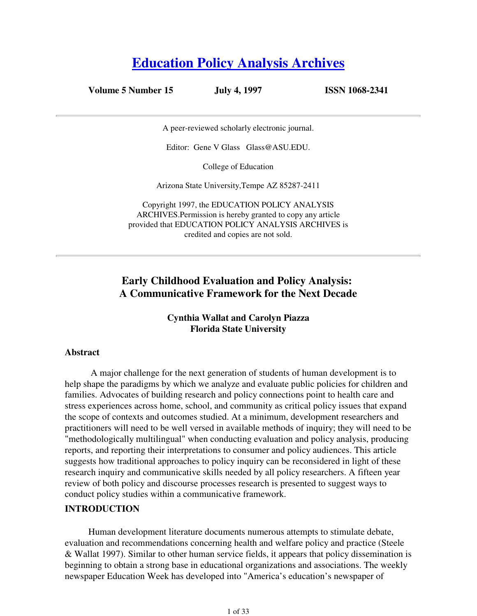# **Education Policy Analysis Archives**

**Volume 5 Number 15 July 4, 1997 ISSN 1068-2341**

A peer-reviewed scholarly electronic journal.

Editor: Gene V Glass Glass@ASU.EDU.

College of Education

Arizona State University,Tempe AZ 85287-2411

Copyright 1997, the EDUCATION POLICY ANALYSIS ARCHIVES.Permission is hereby granted to copy any article provided that EDUCATION POLICY ANALYSIS ARCHIVES is credited and copies are not sold.

# **Early Childhood Evaluation and Policy Analysis: A Communicative Framework for the Next Decade**

## **Cynthia Wallat and Carolyn Piazza Florida State University**

### **Abstract**

 A major challenge for the next generation of students of human development is to help shape the paradigms by which we analyze and evaluate public policies for children and families. Advocates of building research and policy connections point to health care and stress experiences across home, school, and community as critical policy issues that expand the scope of contexts and outcomes studied. At a minimum, development researchers and practitioners will need to be well versed in available methods of inquiry; they will need to be "methodologically multilingual" when conducting evaluation and policy analysis, producing reports, and reporting their interpretations to consumer and policy audiences. This article suggests how traditional approaches to policy inquiry can be reconsidered in light of these research inquiry and communicative skills needed by all policy researchers. A fifteen year review of both policy and discourse processes research is presented to suggest ways to conduct policy studies within a communicative framework.

### **INTRODUCTION**

Human development literature documents numerous attempts to stimulate debate, evaluation and recommendations concerning health and welfare policy and practice (Steele & Wallat 1997). Similar to other human service fields, it appears that policy dissemination is beginning to obtain a strong base in educational organizations and associations. The weekly newspaper Education Week has developed into "America's education's newspaper of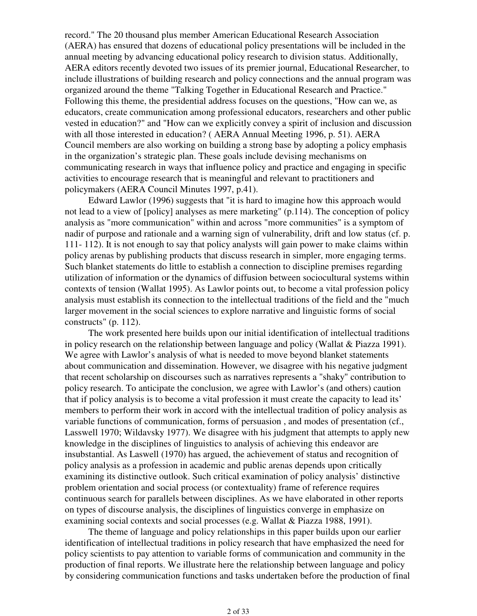record." The 20 thousand plus member American Educational Research Association (AERA) has ensured that dozens of educational policy presentations will be included in the annual meeting by advancing educational policy research to division status. Additionally, AERA editors recently devoted two issues of its premier journal, Educational Researcher, to include illustrations of building research and policy connections and the annual program was organized around the theme "Talking Together in Educational Research and Practice." Following this theme, the presidential address focuses on the questions, "How can we, as educators, create communication among professional educators, researchers and other public vested in education?" and "How can we explicitly convey a spirit of inclusion and discussion with all those interested in education? ( AERA Annual Meeting 1996, p. 51). AERA Council members are also working on building a strong base by adopting a policy emphasis in the organization's strategic plan. These goals include devising mechanisms on communicating research in ways that influence policy and practice and engaging in specific activities to encourage research that is meaningful and relevant to practitioners and policymakers (AERA Council Minutes 1997, p.41).

Edward Lawlor (1996) suggests that "it is hard to imagine how this approach would not lead to a view of [policy] analyses as mere marketing" (p.114). The conception of policy analysis as "more communication" within and across "more communities" is a symptom of nadir of purpose and rationale and a warning sign of vulnerability, drift and low status (cf. p. 111- 112). It is not enough to say that policy analysts will gain power to make claims within policy arenas by publishing products that discuss research in simpler, more engaging terms. Such blanket statements do little to establish a connection to discipline premises regarding utilization of information or the dynamics of diffusion between sociocultural systems within contexts of tension (Wallat 1995). As Lawlor points out, to become a vital profession policy analysis must establish its connection to the intellectual traditions of the field and the "much larger movement in the social sciences to explore narrative and linguistic forms of social constructs" (p. 112).

The work presented here builds upon our initial identification of intellectual traditions in policy research on the relationship between language and policy (Wallat & Piazza 1991). We agree with Lawlor's analysis of what is needed to move beyond blanket statements about communication and dissemination. However, we disagree with his negative judgment that recent scholarship on discourses such as narratives represents a "shaky" contribution to policy research. To anticipate the conclusion, we agree with Lawlor's (and others) caution that if policy analysis is to become a vital profession it must create the capacity to lead its' members to perform their work in accord with the intellectual tradition of policy analysis as variable functions of communication, forms of persuasion , and modes of presentation (cf., Lasswell 1970; Wildavsky 1977). We disagree with his judgment that attempts to apply new knowledge in the disciplines of linguistics to analysis of achieving this endeavor are insubstantial. As Laswell (1970) has argued, the achievement of status and recognition of policy analysis as a profession in academic and public arenas depends upon critically examining its distinctive outlook. Such critical examination of policy analysis' distinctive problem orientation and social process (or contextuality) frame of reference requires continuous search for parallels between disciplines. As we have elaborated in other reports on types of discourse analysis, the disciplines of linguistics converge in emphasize on examining social contexts and social processes (e.g. Wallat & Piazza 1988, 1991).

The theme of language and policy relationships in this paper builds upon our earlier identification of intellectual traditions in policy research that have emphasized the need for policy scientists to pay attention to variable forms of communication and community in the production of final reports. We illustrate here the relationship between language and policy by considering communication functions and tasks undertaken before the production of final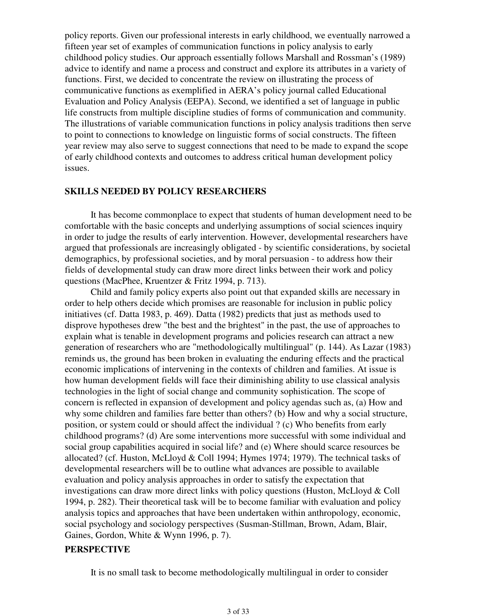policy reports. Given our professional interests in early childhood, we eventually narrowed a fifteen year set of examples of communication functions in policy analysis to early childhood policy studies. Our approach essentially follows Marshall and Rossman's (1989) advice to identify and name a process and construct and explore its attributes in a variety of functions. First, we decided to concentrate the review on illustrating the process of communicative functions as exemplified in AERA's policy journal called Educational Evaluation and Policy Analysis (EEPA). Second, we identified a set of language in public life constructs from multiple discipline studies of forms of communication and community. The illustrations of variable communication functions in policy analysis traditions then serve to point to connections to knowledge on linguistic forms of social constructs. The fifteen year review may also serve to suggest connections that need to be made to expand the scope of early childhood contexts and outcomes to address critical human development policy issues.

### **SKILLS NEEDED BY POLICY RESEARCHERS**

 It has become commonplace to expect that students of human development need to be comfortable with the basic concepts and underlying assumptions of social sciences inquiry in order to judge the results of early intervention. However, developmental researchers have argued that professionals are increasingly obligated - by scientific considerations, by societal demographics, by professional societies, and by moral persuasion - to address how their fields of developmental study can draw more direct links between their work and policy questions (MacPhee, Kruentzer & Fritz 1994, p. 713).

 Child and family policy experts also point out that expanded skills are necessary in order to help others decide which promises are reasonable for inclusion in public policy initiatives (cf. Datta 1983, p. 469). Datta (1982) predicts that just as methods used to disprove hypotheses drew "the best and the brightest" in the past, the use of approaches to explain what is tenable in development programs and policies research can attract a new generation of researchers who are "methodologically multilingual" (p. 144). As Lazar (1983) reminds us, the ground has been broken in evaluating the enduring effects and the practical economic implications of intervening in the contexts of children and families. At issue is how human development fields will face their diminishing ability to use classical analysis technologies in the light of social change and community sophistication. The scope of concern is reflected in expansion of development and policy agendas such as, (a) How and why some children and families fare better than others? (b) How and why a social structure, position, or system could or should affect the individual ? (c) Who benefits from early childhood programs? (d) Are some interventions more successful with some individual and social group capabilities acquired in social life? and (e) Where should scarce resources be allocated? (cf. Huston, McLloyd & Coll 1994; Hymes 1974; 1979). The technical tasks of developmental researchers will be to outline what advances are possible to available evaluation and policy analysis approaches in order to satisfy the expectation that investigations can draw more direct links with policy questions (Huston, McLloyd & Coll 1994, p. 282). Their theoretical task will be to become familiar with evaluation and policy analysis topics and approaches that have been undertaken within anthropology, economic, social psychology and sociology perspectives (Susman-Stillman, Brown, Adam, Blair, Gaines, Gordon, White & Wynn 1996, p. 7).

### **PERSPECTIVE**

It is no small task to become methodologically multilingual in order to consider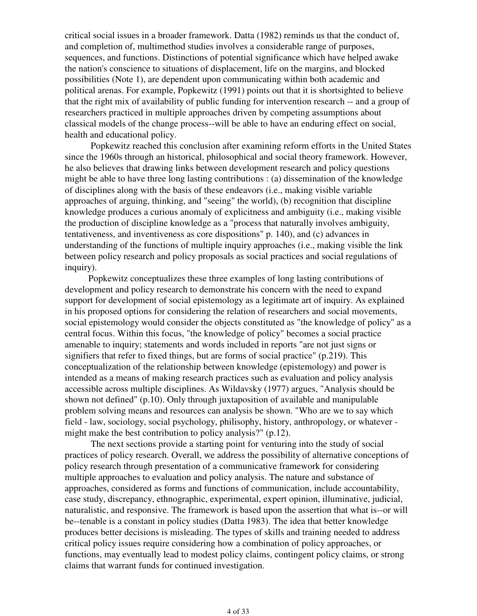critical social issues in a broader framework. Datta (1982) reminds us that the conduct of, and completion of, multimethod studies involves a considerable range of purposes, sequences, and functions. Distinctions of potential significance which have helped awake the nation's conscience to situations of displacement, life on the margins, and blocked possibilities (Note 1), are dependent upon communicating within both academic and political arenas. For example, Popkewitz (1991) points out that it is shortsighted to believe that the right mix of availability of public funding for intervention research -- and a group of researchers practiced in multiple approaches driven by competing assumptions about classical models of the change process--will be able to have an enduring effect on social, health and educational policy.

 Popkewitz reached this conclusion after examining reform efforts in the United States since the 1960s through an historical, philosophical and social theory framework. However, he also believes that drawing links between development research and policy questions might be able to have three long lasting contributions : (a) dissemination of the knowledge of disciplines along with the basis of these endeavors (i.e., making visible variable approaches of arguing, thinking, and "seeing" the world), (b) recognition that discipline knowledge produces a curious anomaly of explicitness and ambiguity (i.e., making visible the production of discipline knowledge as a "process that naturally involves ambiguity, tentativeness, and inventiveness as core dispositions" p. 140), and (c) advances in understanding of the functions of multiple inquiry approaches (i.e., making visible the link between policy research and policy proposals as social practices and social regulations of inquiry).

Popkewitz conceptualizes these three examples of long lasting contributions of development and policy research to demonstrate his concern with the need to expand support for development of social epistemology as a legitimate art of inquiry. As explained in his proposed options for considering the relation of researchers and social movements, social epistemology would consider the objects constituted as "the knowledge of policy" as a central focus. Within this focus, "the knowledge of policy" becomes a social practice amenable to inquiry; statements and words included in reports "are not just signs or signifiers that refer to fixed things, but are forms of social practice" (p.219). This conceptualization of the relationship between knowledge (epistemology) and power is intended as a means of making research practices such as evaluation and policy analysis accessible across multiple disciplines. As Wildavsky (1977) argues, "Analysis should be shown not defined" (p.10). Only through juxtaposition of available and manipulable problem solving means and resources can analysis be shown. "Who are we to say which field - law, sociology, social psychology, philisophy, history, anthropology, or whatever might make the best contribution to policy analysis?" (p.12).

 The next sections provide a starting point for venturing into the study of social practices of policy research. Overall, we address the possibility of alternative conceptions of policy research through presentation of a communicative framework for considering multiple approaches to evaluation and policy analysis. The nature and substance of approaches, considered as forms and functions of communication, include accountability, case study, discrepancy, ethnographic, experimental, expert opinion, illuminative, judicial, naturalistic, and responsive. The framework is based upon the assertion that what is--or will be--tenable is a constant in policy studies (Datta 1983). The idea that better knowledge produces better decisions is misleading. The types of skills and training needed to address critical policy issues require considering how a combination of policy approaches, or functions, may eventually lead to modest policy claims, contingent policy claims, or strong claims that warrant funds for continued investigation.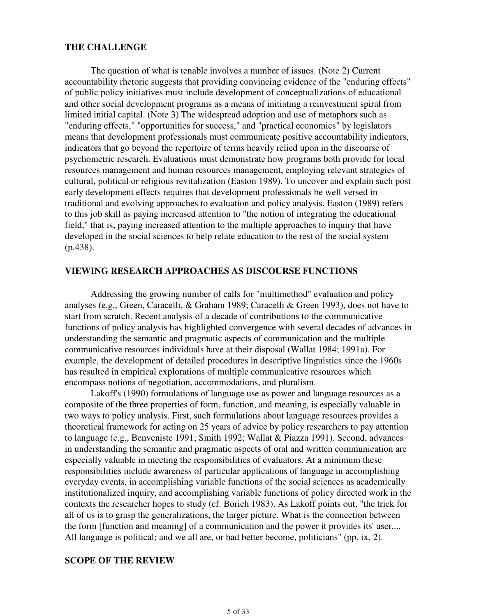### **THE CHALLENGE**

 The question of what is tenable involves a number of issues. (Note 2) Current accountability rhetoric suggests that providing convincing evidence of the "enduring effects" of public policy initiatives must include development of conceptualizations of educational and other social development programs as a means of initiating a reinvestment spiral from limited initial capital. (Note 3) The widespread adoption and use of metaphors such as "enduring effects," "opportunities for success," and "practical economics" by legislators means that development professionals must communicate positive accountability indicators, indicators that go beyond the repertoire of terms heavily relied upon in the discourse of psychometric research. Evaluations must demonstrate how programs both provide for local resources management and human resources management, employing relevant strategies of cultural, political or religious revitalization (Easton 1989). To uncover and explain such post early development effects requires that development professionals be well versed in traditional and evolving approaches to evaluation and policy analysis. Easton (1989) refers to this job skill as paying increased attention to "the notion of integrating the educational field," that is, paying increased attention to the multiple approaches to inquiry that have developed in the social sciences to help relate education to the rest of the social system (p.438).

### **VIEWING RESEARCH APPROACHES AS DISCOURSE FUNCTIONS**

 Addressing the growing number of calls for "multimethod" evaluation and policy analyses (e.g., Green, Caracelli, & Graham 1989; Caracelli & Green 1993), does not have to start from scratch. Recent analysis of a decade of contributions to the communicative functions of policy analysis has highlighted convergence with several decades of advances in understanding the semantic and pragmatic aspects of communication and the multiple communicative resources individuals have at their disposal (Wallat 1984; 1991a). For example, the development of detailed procedures in descriptive linguistics since the 1960s has resulted in empirical explorations of multiple communicative resources which encompass notions of negotiation, accommodations, and pluralism.

 Lakoff's (1990) formulations of language use as power and language resources as a composite of the three properties of form, function, and meaning, is especially valuable in two ways to policy analysis. First, such formulations about language resources provides a theoretical framework for acting on 25 years of advice by policy researchers to pay attention to language (e.g., Benveniste 1991; Smith 1992; Wallat & Piazza 1991). Second, advances in understanding the semantic and pragmatic aspects of oral and written communication are especially valuable in meeting the responsibilities of evaluators. At a minimum these responsibilities include awareness of particular applications of language in accomplishing everyday events, in accomplishing variable functions of the social sciences as academically institutionalized inquiry, and accomplishing variable functions of policy directed work in the contexts the researcher hopes to study (cf. Borich 1983). As Lakoff points out, "the trick for all of us is to grasp the generalizations, the larger picture. What is the connection between the form [function and meaning] of a communication and the power it provides its' user.... All language is political; and we all are, or had better become, politicians" (pp. ix, 2).

### **SCOPE OF THE REVIEW**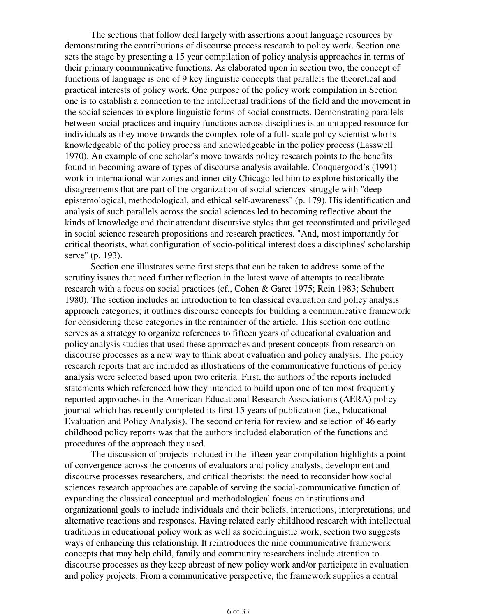The sections that follow deal largely with assertions about language resources by demonstrating the contributions of discourse process research to policy work. Section one sets the stage by presenting a 15 year compilation of policy analysis approaches in terms of their primary communicative functions. As elaborated upon in section two, the concept of functions of language is one of 9 key linguistic concepts that parallels the theoretical and practical interests of policy work. One purpose of the policy work compilation in Section one is to establish a connection to the intellectual traditions of the field and the movement in the social sciences to explore linguistic forms of social constructs. Demonstrating parallels between social practices and inquiry functions across disciplines is an untapped resource for individuals as they move towards the complex role of a full- scale policy scientist who is knowledgeable of the policy process and knowledgeable in the policy process (Lasswell 1970). An example of one scholar's move towards policy research points to the benefits found in becoming aware of types of discourse analysis available. Conquergood's (1991) work in international war zones and inner city Chicago led him to explore historically the disagreements that are part of the organization of social sciences' struggle with "deep epistemological, methodological, and ethical self-awareness" (p. 179). His identification and analysis of such parallels across the social sciences led to becoming reflective about the kinds of knowledge and their attendant discursive styles that get reconstituted and privileged in social science research propositions and research practices. "And, most importantly for critical theorists, what configuration of socio-political interest does a disciplines' scholarship serve" (p. 193).

 Section one illustrates some first steps that can be taken to address some of the scrutiny issues that need further reflection in the latest wave of attempts to recalibrate research with a focus on social practices (cf., Cohen & Garet 1975; Rein 1983; Schubert 1980). The section includes an introduction to ten classical evaluation and policy analysis approach categories; it outlines discourse concepts for building a communicative framework for considering these categories in the remainder of the article. This section one outline serves as a strategy to organize references to fifteen years of educational evaluation and policy analysis studies that used these approaches and present concepts from research on discourse processes as a new way to think about evaluation and policy analysis. The policy research reports that are included as illustrations of the communicative functions of policy analysis were selected based upon two criteria. First, the authors of the reports included statements which referenced how they intended to build upon one of ten most frequently reported approaches in the American Educational Research Association's (AERA) policy journal which has recently completed its first 15 years of publication (i.e., Educational Evaluation and Policy Analysis). The second criteria for review and selection of 46 early childhood policy reports was that the authors included elaboration of the functions and procedures of the approach they used.

 The discussion of projects included in the fifteen year compilation highlights a point of convergence across the concerns of evaluators and policy analysts, development and discourse processes researchers, and critical theorists: the need to reconsider how social sciences research approaches are capable of serving the social-communicative function of expanding the classical conceptual and methodological focus on institutions and organizational goals to include individuals and their beliefs, interactions, interpretations, and alternative reactions and responses. Having related early childhood research with intellectual traditions in educational policy work as well as sociolinguistic work, section two suggests ways of enhancing this relationship. It reintroduces the nine communicative framework concepts that may help child, family and community researchers include attention to discourse processes as they keep abreast of new policy work and/or participate in evaluation and policy projects. From a communicative perspective, the framework supplies a central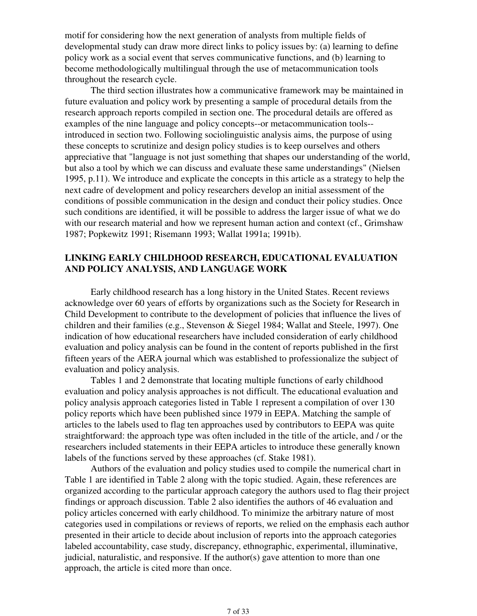motif for considering how the next generation of analysts from multiple fields of developmental study can draw more direct links to policy issues by: (a) learning to define policy work as a social event that serves communicative functions, and (b) learning to become methodologically multilingual through the use of metacommunication tools throughout the research cycle.

 The third section illustrates how a communicative framework may be maintained in future evaluation and policy work by presenting a sample of procedural details from the research approach reports compiled in section one. The procedural details are offered as examples of the nine language and policy concepts--or metacommunication tools- introduced in section two. Following sociolinguistic analysis aims, the purpose of using these concepts to scrutinize and design policy studies is to keep ourselves and others appreciative that "language is not just something that shapes our understanding of the world, but also a tool by which we can discuss and evaluate these same understandings" (Nielsen 1995, p.11). We introduce and explicate the concepts in this article as a strategy to help the next cadre of development and policy researchers develop an initial assessment of the conditions of possible communication in the design and conduct their policy studies. Once such conditions are identified, it will be possible to address the larger issue of what we do with our research material and how we represent human action and context (cf., Grimshaw 1987; Popkewitz 1991; Risemann 1993; Wallat 1991a; 1991b).

## **LINKING EARLY CHILDHOOD RESEARCH, EDUCATIONAL EVALUATION AND POLICY ANALYSIS, AND LANGUAGE WORK**

 Early childhood research has a long history in the United States. Recent reviews acknowledge over 60 years of efforts by organizations such as the Society for Research in Child Development to contribute to the development of policies that influence the lives of children and their families (e.g., Stevenson & Siegel 1984; Wallat and Steele, 1997). One indication of how educational researchers have included consideration of early childhood evaluation and policy analysis can be found in the content of reports published in the first fifteen years of the AERA journal which was established to professionalize the subject of evaluation and policy analysis.

 Tables 1 and 2 demonstrate that locating multiple functions of early childhood evaluation and policy analysis approaches is not difficult. The educational evaluation and policy analysis approach categories listed in Table 1 represent a compilation of over 130 policy reports which have been published since 1979 in EEPA. Matching the sample of articles to the labels used to flag ten approaches used by contributors to EEPA was quite straightforward: the approach type was often included in the title of the article, and / or the researchers included statements in their EEPA articles to introduce these generally known labels of the functions served by these approaches (cf. Stake 1981).

 Authors of the evaluation and policy studies used to compile the numerical chart in Table 1 are identified in Table 2 along with the topic studied. Again, these references are organized according to the particular approach category the authors used to flag their project findings or approach discussion. Table 2 also identifies the authors of 46 evaluation and policy articles concerned with early childhood. To minimize the arbitrary nature of most categories used in compilations or reviews of reports, we relied on the emphasis each author presented in their article to decide about inclusion of reports into the approach categories labeled accountability, case study, discrepancy, ethnographic, experimental, illuminative, judicial, naturalistic, and responsive. If the author(s) gave attention to more than one approach, the article is cited more than once.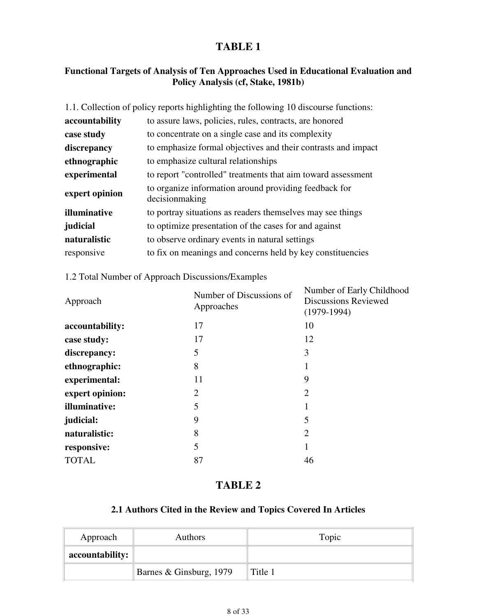# **TABLE 1**

# **Functional Targets of Analysis of Ten Approaches Used in Educational Evaluation and Policy Analysis (cf, Stake, 1981b)**

| 1.1. Collection of policy reports highlighting the following 10 discourse functions: |  |
|--------------------------------------------------------------------------------------|--|
| to assure laws, policies, rules, contracts, are honored                              |  |
| to concentrate on a single case and its complexity                                   |  |
| to emphasize formal objectives and their contrasts and impact                        |  |
| to emphasize cultural relationships                                                  |  |
| to report "controlled" treatments that aim toward assessment                         |  |
| to organize information around providing feedback for<br>decision making             |  |
| to portray situations as readers themselves may see things                           |  |
| to optimize presentation of the cases for and against                                |  |
| to observe ordinary events in natural settings                                       |  |
| to fix on meanings and concerns held by key constituencies                           |  |
|                                                                                      |  |

## 1.2 Total Number of Approach Discussions/Examples

| Approach         | Number of Discussions of<br>Approaches | Number of Early Childhood<br><b>Discussions Reviewed</b><br>$(1979-1994)$ |
|------------------|----------------------------------------|---------------------------------------------------------------------------|
| accountability:  | 17                                     | 10                                                                        |
| case study:      | 17                                     | 12                                                                        |
| discrepancy:     | 5                                      | 3                                                                         |
| ethnographic:    | 8                                      | 1                                                                         |
| experimental:    | 11                                     | 9                                                                         |
| expert opinion:  | $\overline{2}$                         | $\overline{2}$                                                            |
| illuminative:    | 5                                      | 1                                                                         |
| <i>judicial:</i> | 9                                      | 5                                                                         |
| naturalistic:    | 8                                      | $\overline{2}$                                                            |
| responsive:      | 5                                      | 1                                                                         |
| <b>TOTAL</b>     | 87                                     | 46                                                                        |

# **TABLE 2**

# **2.1 Authors Cited in the Review and Topics Covered In Articles**

| Approach        | <b>Authors</b>          | Topic   |
|-----------------|-------------------------|---------|
| accountability: |                         |         |
|                 | Barnes & Ginsburg, 1979 | Title 1 |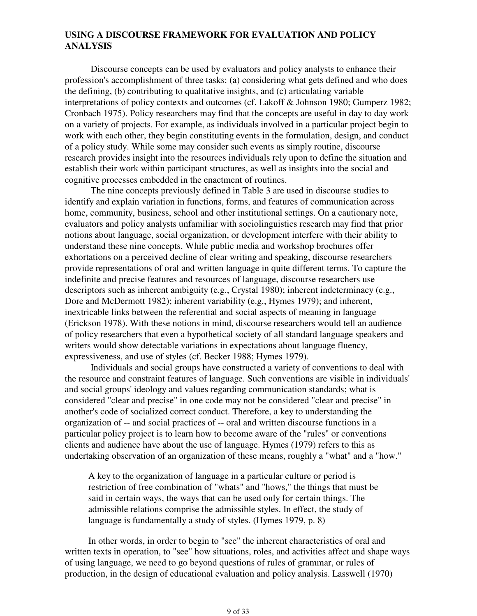## **USING A DISCOURSE FRAMEWORK FOR EVALUATION AND POLICY ANALYSIS**

 Discourse concepts can be used by evaluators and policy analysts to enhance their profession's accomplishment of three tasks: (a) considering what gets defined and who does the defining, (b) contributing to qualitative insights, and (c) articulating variable interpretations of policy contexts and outcomes (cf. Lakoff & Johnson 1980; Gumperz 1982; Cronbach 1975). Policy researchers may find that the concepts are useful in day to day work on a variety of projects. For example, as individuals involved in a particular project begin to work with each other, they begin constituting events in the formulation, design, and conduct of a policy study. While some may consider such events as simply routine, discourse research provides insight into the resources individuals rely upon to define the situation and establish their work within participant structures, as well as insights into the social and cognitive processes embedded in the enactment of routines.

 The nine concepts previously defined in Table 3 are used in discourse studies to identify and explain variation in functions, forms, and features of communication across home, community, business, school and other institutional settings. On a cautionary note, evaluators and policy analysts unfamiliar with sociolinguistics research may find that prior notions about language, social organization, or development interfere with their ability to understand these nine concepts. While public media and workshop brochures offer exhortations on a perceived decline of clear writing and speaking, discourse researchers provide representations of oral and written language in quite different terms. To capture the indefinite and precise features and resources of language, discourse researchers use descriptors such as inherent ambiguity (e.g., Crystal 1980); inherent indeterminacy (e.g., Dore and McDermott 1982); inherent variability (e.g., Hymes 1979); and inherent, inextricable links between the referential and social aspects of meaning in language (Erickson 1978). With these notions in mind, discourse researchers would tell an audience of policy researchers that even a hypothetical society of all standard language speakers and writers would show detectable variations in expectations about language fluency, expressiveness, and use of styles (cf. Becker 1988; Hymes 1979).

 Individuals and social groups have constructed a variety of conventions to deal with the resource and constraint features of language. Such conventions are visible in individuals' and social groups' ideology and values regarding communication standards; what is considered "clear and precise" in one code may not be considered "clear and precise" in another's code of socialized correct conduct. Therefore, a key to understanding the organization of -- and social practices of -- oral and written discourse functions in a particular policy project is to learn how to become aware of the "rules" or conventions clients and audience have about the use of language. Hymes (1979) refers to this as undertaking observation of an organization of these means, roughly a "what" and a "how."

A key to the organization of language in a particular culture or period is restriction of free combination of "whats" and "hows," the things that must be said in certain ways, the ways that can be used only for certain things. The admissible relations comprise the admissible styles. In effect, the study of language is fundamentally a study of styles. (Hymes 1979, p. 8)

In other words, in order to begin to "see" the inherent characteristics of oral and written texts in operation, to "see" how situations, roles, and activities affect and shape ways of using language, we need to go beyond questions of rules of grammar, or rules of production, in the design of educational evaluation and policy analysis. Lasswell (1970)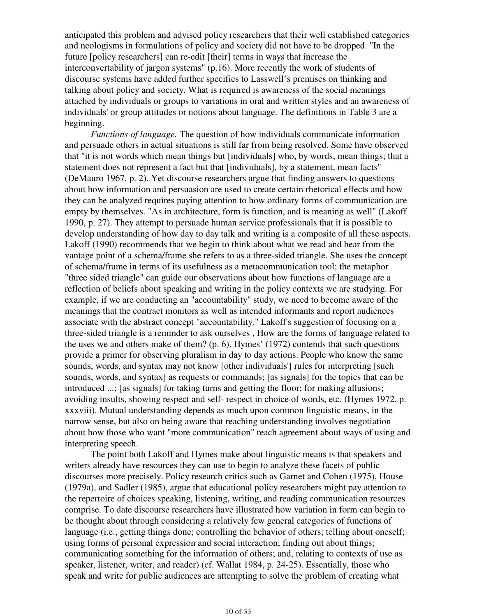anticipated this problem and advised policy researchers that their well established categories and neologisms in formulations of policy and society did not have to be dropped. "In the future [policy researchers] can re-edit [their] terms in ways that increase the interconvertability of jargon systems" (p.16). More recently the work of students of discourse systems have added further specifics to Lasswell's premises on thinking and talking about policy and society. What is required is awareness of the social meanings attached by individuals or groups to variations in oral and written styles and an awareness of individuals' or group attitudes or notions about language. The definitions in Table 3 are a beginning.

 *Functions of language.* The question of how individuals communicate information and persuade others in actual situations is still far from being resolved. Some have observed that "it is not words which mean things but [individuals] who, by words, mean things; that a statement does not represent a fact but that [individuals], by a statement, mean facts" (DeMauro 1967, p. 2). Yet discourse researchers argue that finding answers to questions about how information and persuasion are used to create certain rhetorical effects and how they can be analyzed requires paying attention to how ordinary forms of communication are empty by themselves. "As in architecture, form is function, and is meaning as well" (Lakoff 1990, p. 27). They attempt to persuade human service professionals that it is possible to develop understanding of how day to day talk and writing is a composite of all these aspects. Lakoff (1990) recommends that we begin to think about what we read and hear from the vantage point of a schema/frame she refers to as a three-sided triangle. She uses the concept of schema/frame in terms of its usefulness as a metacommunication tool; the metaphor "three sided triangle" can guide our observations about how functions of language are a reflection of beliefs about speaking and writing in the policy contexts we are studying. For example, if we are conducting an "accountability" study, we need to become aware of the meanings that the contract monitors as well as intended informants and report audiences associate with the abstract concept "accountability." Lakoff's suggestion of focusing on a three-sided triangle is a reminder to ask ourselves , How are the forms of language related to the uses we and others make of them?  $(p, 6)$ . Hymes' (1972) contends that such questions provide a primer for observing pluralism in day to day actions. People who know the same sounds, words, and syntax may not know [other individuals'] rules for interpreting [such sounds, words, and syntax] as requests or commands; [as signals] for the topics that can be introduced ...; [as signals] for taking turns and getting the floor; for making allusions; avoiding insults, showing respect and self- respect in choice of words, etc. (Hymes 1972, p. xxxviii). Mutual understanding depends as much upon common linguistic means, in the narrow sense, but also on being aware that reaching understanding involves negotiation about how those who want "more communication" reach agreement about ways of using and interpreting speech.

 The point both Lakoff and Hymes make about linguistic means is that speakers and writers already have resources they can use to begin to analyze these facets of public discourses more precisely. Policy research critics such as Garnet and Cohen (1975), House (1979a), and Sadler (1985), argue that educational policy researchers might pay attention to the repertoire of choices speaking, listening, writing, and reading communication resources comprise. To date discourse researchers have illustrated how variation in form can begin to be thought about through considering a relatively few general categories of functions of language (i.e., getting things done; controlling the behavior of others; telling about oneself; using forms of personal expression and social interaction; finding out about things; communicating something for the information of others; and, relating to contexts of use as speaker, listener, writer, and reader) (cf. Wallat 1984, p. 24-25). Essentially, those who speak and write for public audiences are attempting to solve the problem of creating what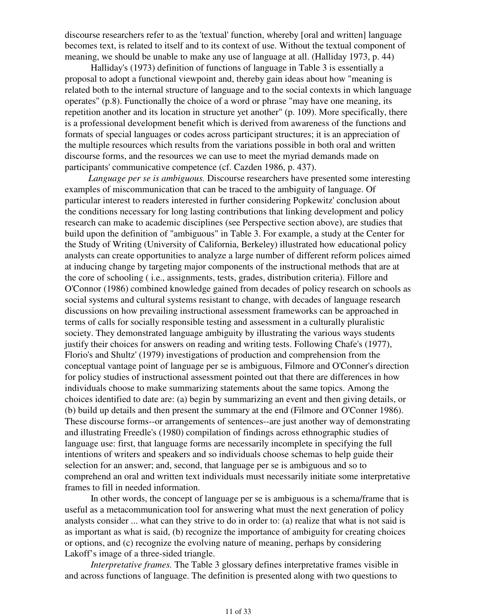discourse researchers refer to as the 'textual' function, whereby [oral and written] language becomes text, is related to itself and to its context of use. Without the textual component of meaning, we should be unable to make any use of language at all. (Halliday 1973, p. 44)

 Halliday's (1973) definition of functions of language in Table 3 is essentially a proposal to adopt a functional viewpoint and, thereby gain ideas about how "meaning is related both to the internal structure of language and to the social contexts in which language operates" (p.8). Functionally the choice of a word or phrase "may have one meaning, its repetition another and its location in structure yet another" (p. 109). More specifically, there is a professional development benefit which is derived from awareness of the functions and formats of special languages or codes across participant structures; it is an appreciation of the multiple resources which results from the variations possible in both oral and written discourse forms, and the resources we can use to meet the myriad demands made on participants' communicative competence (cf. Cazden 1986, p. 437).

*Language per se is ambiguous.* Discourse researchers have presented some interesting examples of miscommunication that can be traced to the ambiguity of language. Of particular interest to readers interested in further considering Popkewitz' conclusion about the conditions necessary for long lasting contributions that linking development and policy research can make to academic disciplines (see Perspective section above), are studies that build upon the definition of "ambiguous" in Table 3. For example, a study at the Center for the Study of Writing (University of California, Berkeley) illustrated how educational policy analysts can create opportunities to analyze a large number of different reform polices aimed at inducing change by targeting major components of the instructional methods that are at the core of schooling ( i.e., assignments, tests, grades, distribution criteria). Fillore and O'Connor (1986) combined knowledge gained from decades of policy research on schools as social systems and cultural systems resistant to change, with decades of language research discussions on how prevailing instructional assessment frameworks can be approached in terms of calls for socially responsible testing and assessment in a culturally pluralistic society. They demonstrated language ambiguity by illustrating the various ways students justify their choices for answers on reading and writing tests. Following Chafe's (1977), Florio's and Shultz' (1979) investigations of production and comprehension from the conceptual vantage point of language per se is ambiguous, Filmore and O'Conner's direction for policy studies of instructional assessment pointed out that there are differences in how individuals choose to make summarizing statements about the same topics. Among the choices identified to date are: (a) begin by summarizing an event and then giving details, or (b) build up details and then present the summary at the end (Filmore and O'Conner 1986). These discourse forms--or arrangements of sentences--are just another way of demonstrating and illustrating Freedle's (1980) compilation of findings across ethnographic studies of language use: first, that language forms are necessarily incomplete in specifying the full intentions of writers and speakers and so individuals choose schemas to help guide their selection for an answer; and, second, that language per se is ambiguous and so to comprehend an oral and written text individuals must necessarily initiate some interpretative frames to fill in needed information.

 In other words, the concept of language per se is ambiguous is a schema/frame that is useful as a metacommunication tool for answering what must the next generation of policy analysts consider ... what can they strive to do in order to: (a) realize that what is not said is as important as what is said, (b) recognize the importance of ambiguity for creating choices or options, and (c) recognize the evolving nature of meaning, perhaps by considering Lakoff's image of a three-sided triangle.

*Interpretative frames.* The Table 3 glossary defines interpretative frames visible in and across functions of language. The definition is presented along with two questions to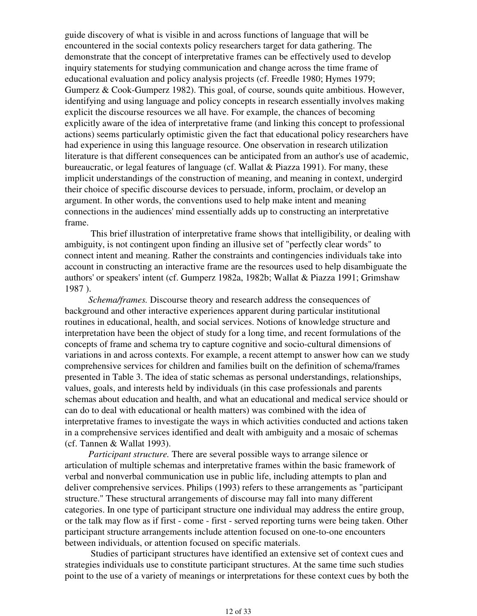guide discovery of what is visible in and across functions of language that will be encountered in the social contexts policy researchers target for data gathering. The demonstrate that the concept of interpretative frames can be effectively used to develop inquiry statements for studying communication and change across the time frame of educational evaluation and policy analysis projects (cf. Freedle 1980; Hymes 1979; Gumperz & Cook-Gumperz 1982). This goal, of course, sounds quite ambitious. However, identifying and using language and policy concepts in research essentially involves making explicit the discourse resources we all have. For example, the chances of becoming explicitly aware of the idea of interpretative frame (and linking this concept to professional actions) seems particularly optimistic given the fact that educational policy researchers have had experience in using this language resource. One observation in research utilization literature is that different consequences can be anticipated from an author's use of academic, bureaucratic, or legal features of language (cf. Wallat & Piazza 1991). For many, these implicit understandings of the construction of meaning, and meaning in context, undergird their choice of specific discourse devices to persuade, inform, proclaim, or develop an argument. In other words, the conventions used to help make intent and meaning connections in the audiences' mind essentially adds up to constructing an interpretative frame.

 This brief illustration of interpretative frame shows that intelligibility, or dealing with ambiguity, is not contingent upon finding an illusive set of "perfectly clear words" to connect intent and meaning. Rather the constraints and contingencies individuals take into account in constructing an interactive frame are the resources used to help disambiguate the authors' or speakers' intent (cf. Gumperz 1982a, 1982b; Wallat & Piazza 1991; Grimshaw 1987 ).

*Schema/frames.* Discourse theory and research address the consequences of background and other interactive experiences apparent during particular institutional routines in educational, health, and social services. Notions of knowledge structure and interpretation have been the object of study for a long time, and recent formulations of the concepts of frame and schema try to capture cognitive and socio-cultural dimensions of variations in and across contexts. For example, a recent attempt to answer how can we study comprehensive services for children and families built on the definition of schema/frames presented in Table 3. The idea of static schemas as personal understandings, relationships, values, goals, and interests held by individuals (in this case professionals and parents schemas about education and health, and what an educational and medical service should or can do to deal with educational or health matters) was combined with the idea of interpretative frames to investigate the ways in which activities conducted and actions taken in a comprehensive services identified and dealt with ambiguity and a mosaic of schemas (cf. Tannen & Wallat 1993).

*Participant structure.* There are several possible ways to arrange silence or articulation of multiple schemas and interpretative frames within the basic framework of verbal and nonverbal communication use in public life, including attempts to plan and deliver comprehensive services. Philips (1993) refers to these arrangements as "participant structure." These structural arrangements of discourse may fall into many different categories. In one type of participant structure one individual may address the entire group, or the talk may flow as if first - come - first - served reporting turns were being taken. Other participant structure arrangements include attention focused on one-to-one encounters between individuals, or attention focused on specific materials.

 Studies of participant structures have identified an extensive set of context cues and strategies individuals use to constitute participant structures. At the same time such studies point to the use of a variety of meanings or interpretations for these context cues by both the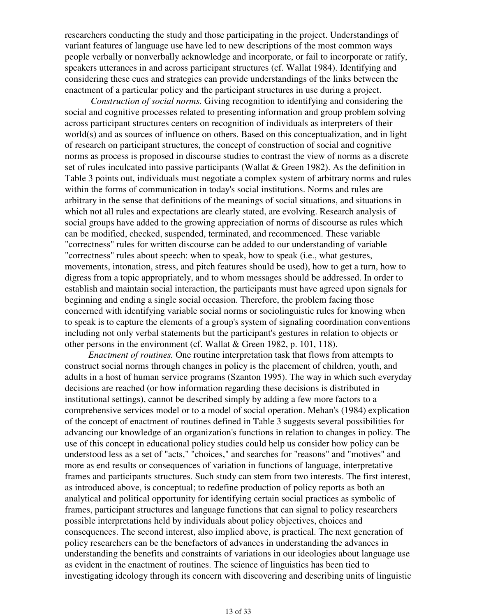researchers conducting the study and those participating in the project. Understandings of variant features of language use have led to new descriptions of the most common ways people verbally or nonverbally acknowledge and incorporate, or fail to incorporate or ratify, speakers utterances in and across participant structures (cf. Wallat 1984). Identifying and considering these cues and strategies can provide understandings of the links between the enactment of a particular policy and the participant structures in use during a project.

 *Construction of social norms.* Giving recognition to identifying and considering the social and cognitive processes related to presenting information and group problem solving across participant structures centers on recognition of individuals as interpreters of their world(s) and as sources of influence on others. Based on this conceptualization, and in light of research on participant structures, the concept of construction of social and cognitive norms as process is proposed in discourse studies to contrast the view of norms as a discrete set of rules inculcated into passive participants (Wallat & Green 1982). As the definition in Table 3 points out, individuals must negotiate a complex system of arbitrary norms and rules within the forms of communication in today's social institutions. Norms and rules are arbitrary in the sense that definitions of the meanings of social situations, and situations in which not all rules and expectations are clearly stated, are evolving. Research analysis of social groups have added to the growing appreciation of norms of discourse as rules which can be modified, checked, suspended, terminated, and recommenced. These variable "correctness" rules for written discourse can be added to our understanding of variable "correctness" rules about speech: when to speak, how to speak (i.e., what gestures, movements, intonation, stress, and pitch features should be used), how to get a turn, how to digress from a topic appropriately, and to whom messages should be addressed. In order to establish and maintain social interaction, the participants must have agreed upon signals for beginning and ending a single social occasion. Therefore, the problem facing those concerned with identifying variable social norms or sociolinguistic rules for knowing when to speak is to capture the elements of a group's system of signaling coordination conventions including not only verbal statements but the participant's gestures in relation to objects or other persons in the environment (cf. Wallat & Green 1982, p. 101, 118).

*Enactment of routines.* One routine interpretation task that flows from attempts to construct social norms through changes in policy is the placement of children, youth, and adults in a host of human service programs (Szanton 1995). The way in which such everyday decisions are reached (or how information regarding these decisions is distributed in institutional settings), cannot be described simply by adding a few more factors to a comprehensive services model or to a model of social operation. Mehan's (1984) explication of the concept of enactment of routines defined in Table 3 suggests several possibilities for advancing our knowledge of an organization's functions in relation to changes in policy. The use of this concept in educational policy studies could help us consider how policy can be understood less as a set of "acts," "choices," and searches for "reasons" and "motives" and more as end results or consequences of variation in functions of language, interpretative frames and participants structures. Such study can stem from two interests. The first interest, as introduced above, is conceptual; to redefine production of policy reports as both an analytical and political opportunity for identifying certain social practices as symbolic of frames, participant structures and language functions that can signal to policy researchers possible interpretations held by individuals about policy objectives, choices and consequences. The second interest, also implied above, is practical. The next generation of policy researchers can be the benefactors of advances in understanding the advances in understanding the benefits and constraints of variations in our ideologies about language use as evident in the enactment of routines. The science of linguistics has been tied to investigating ideology through its concern with discovering and describing units of linguistic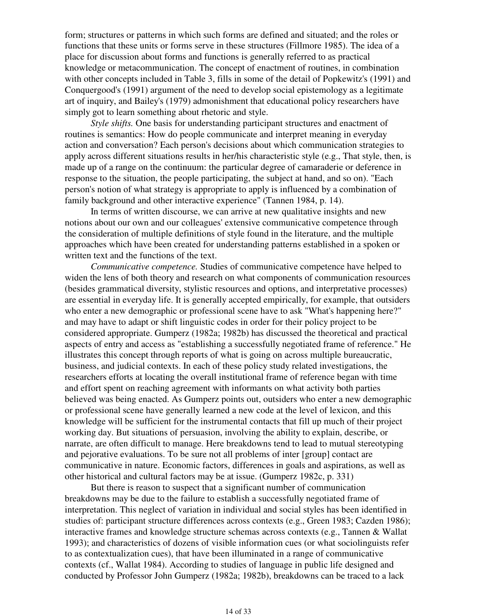form; structures or patterns in which such forms are defined and situated; and the roles or functions that these units or forms serve in these structures (Fillmore 1985). The idea of a place for discussion about forms and functions is generally referred to as practical knowledge or metacommunication. The concept of enactment of routines, in combination with other concepts included in Table 3, fills in some of the detail of Popkewitz's (1991) and Conquergood's (1991) argument of the need to develop social epistemology as a legitimate art of inquiry, and Bailey's (1979) admonishment that educational policy researchers have simply got to learn something about rhetoric and style.

 *Style shifts.* One basis for understanding participant structures and enactment of routines is semantics: How do people communicate and interpret meaning in everyday action and conversation? Each person's decisions about which communication strategies to apply across different situations results in her/his characteristic style (e.g., That style, then, is made up of a range on the continuum: the particular degree of camaraderie or deference in response to the situation, the people participating, the subject at hand, and so on). "Each person's notion of what strategy is appropriate to apply is influenced by a combination of family background and other interactive experience" (Tannen 1984, p. 14).

 In terms of written discourse, we can arrive at new qualitative insights and new notions about our own and our colleagues' extensive communicative competence through the consideration of multiple definitions of style found in the literature, and the multiple approaches which have been created for understanding patterns established in a spoken or written text and the functions of the text.

 *Communicative competence.* Studies of communicative competence have helped to widen the lens of both theory and research on what components of communication resources (besides grammatical diversity, stylistic resources and options, and interpretative processes) are essential in everyday life. It is generally accepted empirically, for example, that outsiders who enter a new demographic or professional scene have to ask "What's happening here?" and may have to adapt or shift linguistic codes in order for their policy project to be considered appropriate. Gumperz (1982a; 1982b) has discussed the theoretical and practical aspects of entry and access as "establishing a successfully negotiated frame of reference." He illustrates this concept through reports of what is going on across multiple bureaucratic, business, and judicial contexts. In each of these policy study related investigations, the researchers efforts at locating the overall institutional frame of reference began with time and effort spent on reaching agreement with informants on what activity both parties believed was being enacted. As Gumperz points out, outsiders who enter a new demographic or professional scene have generally learned a new code at the level of lexicon, and this knowledge will be sufficient for the instrumental contacts that fill up much of their project working day. But situations of persuasion, involving the ability to explain, describe, or narrate, are often difficult to manage. Here breakdowns tend to lead to mutual stereotyping and pejorative evaluations. To be sure not all problems of inter [group] contact are communicative in nature. Economic factors, differences in goals and aspirations, as well as other historical and cultural factors may be at issue. (Gumperz 1982c, p. 331)

 But there is reason to suspect that a significant number of communication breakdowns may be due to the failure to establish a successfully negotiated frame of interpretation. This neglect of variation in individual and social styles has been identified in studies of: participant structure differences across contexts (e.g., Green 1983; Cazden 1986); interactive frames and knowledge structure schemas across contexts (e.g., Tannen & Wallat 1993); and characteristics of dozens of visible information cues (or what sociolinguists refer to as contextualization cues), that have been illuminated in a range of communicative contexts (cf., Wallat 1984). According to studies of language in public life designed and conducted by Professor John Gumperz (1982a; 1982b), breakdowns can be traced to a lack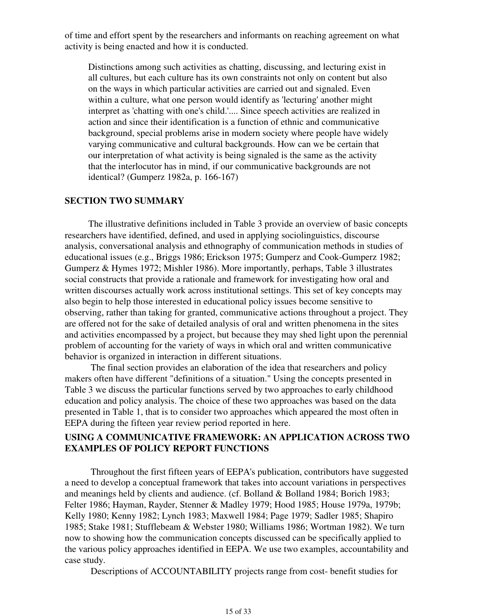of time and effort spent by the researchers and informants on reaching agreement on what activity is being enacted and how it is conducted.

Distinctions among such activities as chatting, discussing, and lecturing exist in all cultures, but each culture has its own constraints not only on content but also on the ways in which particular activities are carried out and signaled. Even within a culture, what one person would identify as 'lecturing' another might interpret as 'chatting with one's child.'.... Since speech activities are realized in action and since their identification is a function of ethnic and communicative background, special problems arise in modern society where people have widely varying communicative and cultural backgrounds. How can we be certain that our interpretation of what activity is being signaled is the same as the activity that the interlocutor has in mind, if our communicative backgrounds are not identical? (Gumperz 1982a, p. 166-167)

### **SECTION TWO SUMMARY**

The illustrative definitions included in Table 3 provide an overview of basic concepts researchers have identified, defined, and used in applying sociolinguistics, discourse analysis, conversational analysis and ethnography of communication methods in studies of educational issues (e.g., Briggs 1986; Erickson 1975; Gumperz and Cook-Gumperz 1982; Gumperz & Hymes 1972; Mishler 1986). More importantly, perhaps, Table 3 illustrates social constructs that provide a rationale and framework for investigating how oral and written discourses actually work across institutional settings. This set of key concepts may also begin to help those interested in educational policy issues become sensitive to observing, rather than taking for granted, communicative actions throughout a project. They are offered not for the sake of detailed analysis of oral and written phenomena in the sites and activities encompassed by a project, but because they may shed light upon the perennial problem of accounting for the variety of ways in which oral and written communicative behavior is organized in interaction in different situations.

 The final section provides an elaboration of the idea that researchers and policy makers often have different "definitions of a situation." Using the concepts presented in Table 3 we discuss the particular functions served by two approaches to early childhood education and policy analysis. The choice of these two approaches was based on the data presented in Table 1, that is to consider two approaches which appeared the most often in EEPA during the fifteen year review period reported in here.

### **USING A COMMUNICATIVE FRAMEWORK: AN APPLICATION ACROSS TWO EXAMPLES OF POLICY REPORT FUNCTIONS**

 Throughout the first fifteen years of EEPA's publication, contributors have suggested a need to develop a conceptual framework that takes into account variations in perspectives and meanings held by clients and audience. (cf. Bolland & Bolland 1984; Borich 1983; Felter 1986; Hayman, Rayder, Stenner & Madley 1979; Hood 1985; House 1979a, 1979b; Kelly 1980; Kenny 1982; Lynch 1983; Maxwell 1984; Page 1979; Sadler 1985; Shapiro 1985; Stake 1981; Stufflebeam & Webster 1980; Williams 1986; Wortman 1982). We turn now to showing how the communication concepts discussed can be specifically applied to the various policy approaches identified in EEPA. We use two examples, accountability and case study.

Descriptions of ACCOUNTABILITY projects range from cost- benefit studies for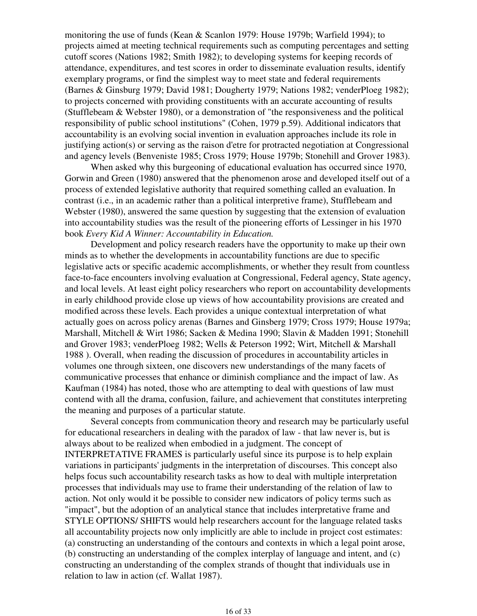monitoring the use of funds (Kean & Scanlon 1979: House 1979b; Warfield 1994); to projects aimed at meeting technical requirements such as computing percentages and setting cutoff scores (Nations 1982; Smith 1982); to developing systems for keeping records of attendance, expenditures, and test scores in order to disseminate evaluation results, identify exemplary programs, or find the simplest way to meet state and federal requirements (Barnes & Ginsburg 1979; David 1981; Dougherty 1979; Nations 1982; venderPloeg 1982); to projects concerned with providing constituents with an accurate accounting of results (Stufflebeam & Webster 1980), or a demonstration of "the responsiveness and the political responsibility of public school institutions" (Cohen, 1979 p.59). Additional indicators that accountability is an evolving social invention in evaluation approaches include its role in justifying action(s) or serving as the raison d'etre for protracted negotiation at Congressional and agency levels (Benveniste 1985; Cross 1979; House 1979b; Stonehill and Grover 1983).

 When asked why this burgeoning of educational evaluation has occurred since 1970, Gorwin and Green (1980) answered that the phenomenon arose and developed itself out of a process of extended legislative authority that required something called an evaluation. In contrast (i.e., in an academic rather than a political interpretive frame), Stufflebeam and Webster (1980), answered the same question by suggesting that the extension of evaluation into accountability studies was the result of the pioneering efforts of Lessinger in his 1970 book *Every Kid A Winner: Accountability in Education.*

 Development and policy research readers have the opportunity to make up their own minds as to whether the developments in accountability functions are due to specific legislative acts or specific academic accomplishments, or whether they result from countless face-to-face encounters involving evaluation at Congressional, Federal agency, State agency, and local levels. At least eight policy researchers who report on accountability developments in early childhood provide close up views of how accountability provisions are created and modified across these levels. Each provides a unique contextual interpretation of what actually goes on across policy arenas (Barnes and Ginsberg 1979; Cross 1979; House 1979a; Marshall, Mitchell & Wirt 1986; Sacken & Medina 1990; Slavin & Madden 1991; Stonehill and Grover 1983; venderPloeg 1982; Wells & Peterson 1992; Wirt, Mitchell & Marshall 1988 ). Overall, when reading the discussion of procedures in accountability articles in volumes one through sixteen, one discovers new understandings of the many facets of communicative processes that enhance or diminish compliance and the impact of law. As Kaufman (1984) has noted, those who are attempting to deal with questions of law must contend with all the drama, confusion, failure, and achievement that constitutes interpreting the meaning and purposes of a particular statute.

 Several concepts from communication theory and research may be particularly useful for educational researchers in dealing with the paradox of law - that law never is, but is always about to be realized when embodied in a judgment. The concept of INTERPRETATIVE FRAMES is particularly useful since its purpose is to help explain variations in participants' judgments in the interpretation of discourses. This concept also helps focus such accountability research tasks as how to deal with multiple interpretation processes that individuals may use to frame their understanding of the relation of law to action. Not only would it be possible to consider new indicators of policy terms such as "impact", but the adoption of an analytical stance that includes interpretative frame and STYLE OPTIONS/ SHIFTS would help researchers account for the language related tasks all accountability projects now only implicitly are able to include in project cost estimates: (a) constructing an understanding of the contours and contexts in which a legal point arose, (b) constructing an understanding of the complex interplay of language and intent, and (c) constructing an understanding of the complex strands of thought that individuals use in relation to law in action (cf. Wallat 1987).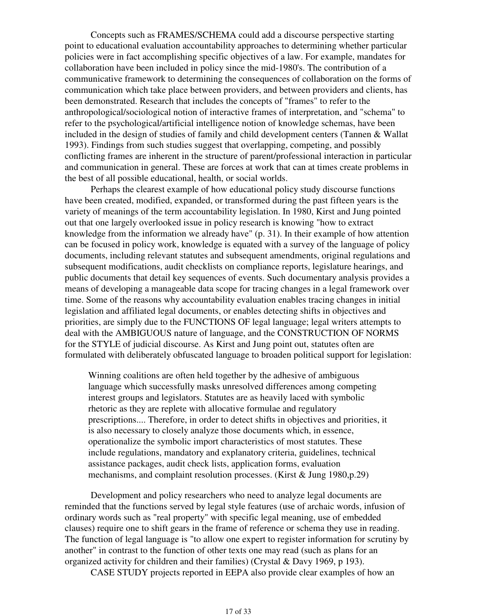Concepts such as FRAMES/SCHEMA could add a discourse perspective starting point to educational evaluation accountability approaches to determining whether particular policies were in fact accomplishing specific objectives of a law. For example, mandates for collaboration have been included in policy since the mid-1980's. The contribution of a communicative framework to determining the consequences of collaboration on the forms of communication which take place between providers, and between providers and clients, has been demonstrated. Research that includes the concepts of "frames" to refer to the anthropological/sociological notion of interactive frames of interpretation, and "schema" to refer to the psychological/artificial intelligence notion of knowledge schemas, have been included in the design of studies of family and child development centers (Tannen & Wallat 1993). Findings from such studies suggest that overlapping, competing, and possibly conflicting frames are inherent in the structure of parent/professional interaction in particular and communication in general. These are forces at work that can at times create problems in the best of all possible educational, health, or social worlds.

 Perhaps the clearest example of how educational policy study discourse functions have been created, modified, expanded, or transformed during the past fifteen years is the variety of meanings of the term accountability legislation. In 1980, Kirst and Jung pointed out that one largely overlooked issue in policy research is knowing "how to extract knowledge from the information we already have" (p. 31). In their example of how attention can be focused in policy work, knowledge is equated with a survey of the language of policy documents, including relevant statutes and subsequent amendments, original regulations and subsequent modifications, audit checklists on compliance reports, legislature hearings, and public documents that detail key sequences of events. Such documentary analysis provides a means of developing a manageable data scope for tracing changes in a legal framework over time. Some of the reasons why accountability evaluation enables tracing changes in initial legislation and affiliated legal documents, or enables detecting shifts in objectives and priorities, are simply due to the FUNCTIONS OF legal language; legal writers attempts to deal with the AMBIGUOUS nature of language, and the CONSTRUCTION OF NORMS for the STYLE of judicial discourse. As Kirst and Jung point out, statutes often are formulated with deliberately obfuscated language to broaden political support for legislation:

Winning coalitions are often held together by the adhesive of ambiguous language which successfully masks unresolved differences among competing interest groups and legislators. Statutes are as heavily laced with symbolic rhetoric as they are replete with allocative formulae and regulatory prescriptions.... Therefore, in order to detect shifts in objectives and priorities, it is also necessary to closely analyze those documents which, in essence, operationalize the symbolic import characteristics of most statutes. These include regulations, mandatory and explanatory criteria, guidelines, technical assistance packages, audit check lists, application forms, evaluation mechanisms, and complaint resolution processes. (Kirst & Jung 1980,p.29)

 Development and policy researchers who need to analyze legal documents are reminded that the functions served by legal style features (use of archaic words, infusion of ordinary words such as "real property" with specific legal meaning, use of embedded clauses) require one to shift gears in the frame of reference or schema they use in reading. The function of legal language is "to allow one expert to register information for scrutiny by another" in contrast to the function of other texts one may read (such as plans for an organized activity for children and their families) (Crystal & Davy 1969, p 193).

CASE STUDY projects reported in EEPA also provide clear examples of how an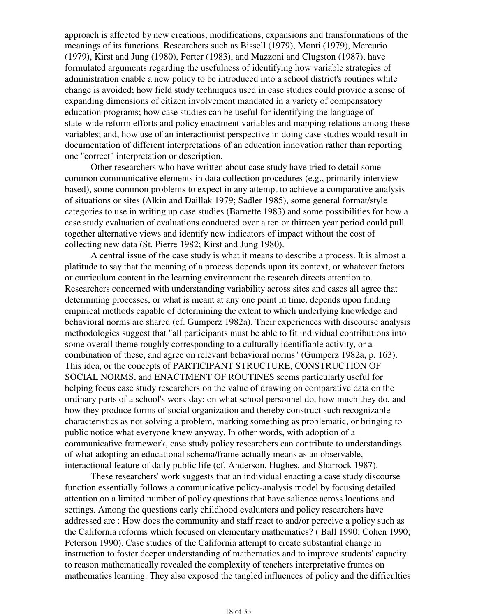approach is affected by new creations, modifications, expansions and transformations of the meanings of its functions. Researchers such as Bissell (1979), Monti (1979), Mercurio (1979), Kirst and Jung (1980), Porter (1983), and Mazzoni and Clugston (1987), have formulated arguments regarding the usefulness of identifying how variable strategies of administration enable a new policy to be introduced into a school district's routines while change is avoided; how field study techniques used in case studies could provide a sense of expanding dimensions of citizen involvement mandated in a variety of compensatory education programs; how case studies can be useful for identifying the language of state-wide reform efforts and policy enactment variables and mapping relations among these variables; and, how use of an interactionist perspective in doing case studies would result in documentation of different interpretations of an education innovation rather than reporting one "correct" interpretation or description.

 Other researchers who have written about case study have tried to detail some common communicative elements in data collection procedures (e.g., primarily interview based), some common problems to expect in any attempt to achieve a comparative analysis of situations or sites (Alkin and Daillak 1979; Sadler 1985), some general format/style categories to use in writing up case studies (Barnette 1983) and some possibilities for how a case study evaluation of evaluations conducted over a ten or thirteen year period could pull together alternative views and identify new indicators of impact without the cost of collecting new data (St. Pierre 1982; Kirst and Jung 1980).

 A central issue of the case study is what it means to describe a process. It is almost a platitude to say that the meaning of a process depends upon its context, or whatever factors or curriculum content in the learning environment the research directs attention to. Researchers concerned with understanding variability across sites and cases all agree that determining processes, or what is meant at any one point in time, depends upon finding empirical methods capable of determining the extent to which underlying knowledge and behavioral norms are shared (cf. Gumperz 1982a). Their experiences with discourse analysis methodologies suggest that "all participants must be able to fit individual contributions into some overall theme roughly corresponding to a culturally identifiable activity, or a combination of these, and agree on relevant behavioral norms" (Gumperz 1982a, p. 163). This idea, or the concepts of PARTICIPANT STRUCTURE, CONSTRUCTION OF SOCIAL NORMS, and ENACTMENT OF ROUTINES seems particularly useful for helping focus case study researchers on the value of drawing on comparative data on the ordinary parts of a school's work day: on what school personnel do, how much they do, and how they produce forms of social organization and thereby construct such recognizable characteristics as not solving a problem, marking something as problematic, or bringing to public notice what everyone knew anyway. In other words, with adoption of a communicative framework, case study policy researchers can contribute to understandings of what adopting an educational schema/frame actually means as an observable, interactional feature of daily public life (cf. Anderson, Hughes, and Sharrock 1987).

 These researchers' work suggests that an individual enacting a case study discourse function essentially follows a communicative policy-analysis model by focusing detailed attention on a limited number of policy questions that have salience across locations and settings. Among the questions early childhood evaluators and policy researchers have addressed are : How does the community and staff react to and/or perceive a policy such as the California reforms which focused on elementary mathematics? ( Ball 1990; Cohen 1990; Peterson 1990). Case studies of the California attempt to create substantial change in instruction to foster deeper understanding of mathematics and to improve students' capacity to reason mathematically revealed the complexity of teachers interpretative frames on mathematics learning. They also exposed the tangled influences of policy and the difficulties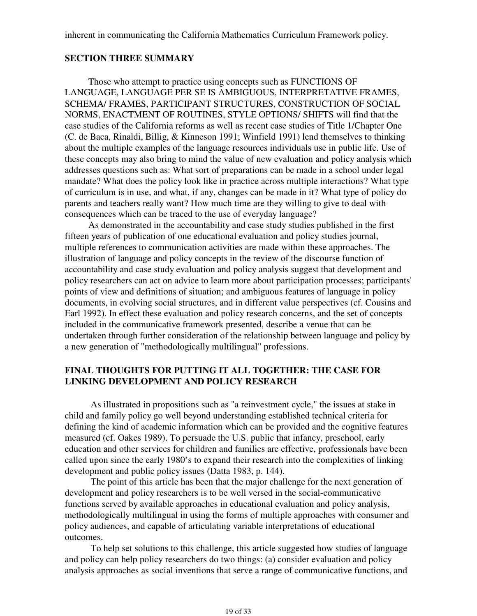### **SECTION THREE SUMMARY**

Those who attempt to practice using concepts such as FUNCTIONS OF LANGUAGE, LANGUAGE PER SE IS AMBIGUOUS, INTERPRETATIVE FRAMES, SCHEMA/ FRAMES, PARTICIPANT STRUCTURES, CONSTRUCTION OF SOCIAL NORMS, ENACTMENT OF ROUTINES, STYLE OPTIONS/ SHIFTS will find that the case studies of the California reforms as well as recent case studies of Title 1/Chapter One (C. de Baca, Rinaldi, Billig, & Kinneson 1991; Winfield 1991) lend themselves to thinking about the multiple examples of the language resources individuals use in public life. Use of these concepts may also bring to mind the value of new evaluation and policy analysis which addresses questions such as: What sort of preparations can be made in a school under legal mandate? What does the policy look like in practice across multiple interactions? What type of curriculum is in use, and what, if any, changes can be made in it? What type of policy do parents and teachers really want? How much time are they willing to give to deal with consequences which can be traced to the use of everyday language?

As demonstrated in the accountability and case study studies published in the first fifteen years of publication of one educational evaluation and policy studies journal, multiple references to communication activities are made within these approaches. The illustration of language and policy concepts in the review of the discourse function of accountability and case study evaluation and policy analysis suggest that development and policy researchers can act on advice to learn more about participation processes; participants' points of view and definitions of situation; and ambiguous features of language in policy documents, in evolving social structures, and in different value perspectives (cf. Cousins and Earl 1992). In effect these evaluation and policy research concerns, and the set of concepts included in the communicative framework presented, describe a venue that can be undertaken through further consideration of the relationship between language and policy by a new generation of "methodologically multilingual" professions.

## **FINAL THOUGHTS FOR PUTTING IT ALL TOGETHER: THE CASE FOR LINKING DEVELOPMENT AND POLICY RESEARCH**

 As illustrated in propositions such as "a reinvestment cycle," the issues at stake in child and family policy go well beyond understanding established technical criteria for defining the kind of academic information which can be provided and the cognitive features measured (cf. Oakes 1989). To persuade the U.S. public that infancy, preschool, early education and other services for children and families are effective, professionals have been called upon since the early 1980's to expand their research into the complexities of linking development and public policy issues (Datta 1983, p. 144).

 The point of this article has been that the major challenge for the next generation of development and policy researchers is to be well versed in the social-communicative functions served by available approaches in educational evaluation and policy analysis, methodologically multilingual in using the forms of multiple approaches with consumer and policy audiences, and capable of articulating variable interpretations of educational outcomes.

 To help set solutions to this challenge, this article suggested how studies of language and policy can help policy researchers do two things: (a) consider evaluation and policy analysis approaches as social inventions that serve a range of communicative functions, and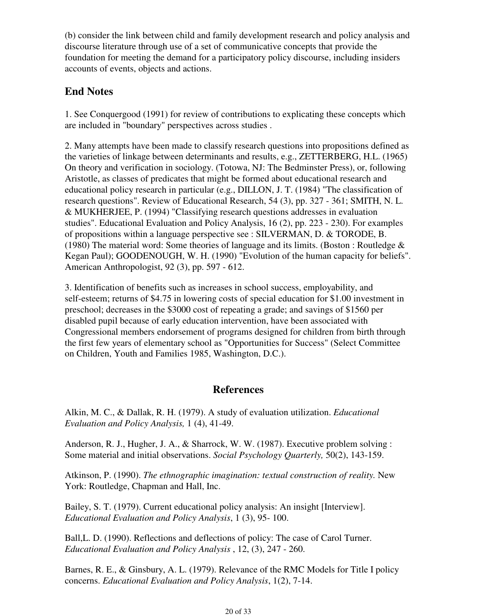(b) consider the link between child and family development research and policy analysis and discourse literature through use of a set of communicative concepts that provide the foundation for meeting the demand for a participatory policy discourse, including insiders accounts of events, objects and actions.

# **End Notes**

1. See Conquergood (1991) for review of contributions to explicating these concepts which are included in "boundary" perspectives across studies .

2. Many attempts have been made to classify research questions into propositions defined as the varieties of linkage between determinants and results, e.g., ZETTERBERG, H.L. (1965) On theory and verification in sociology. (Totowa, NJ: The Bedminster Press), or, following Aristotle, as classes of predicates that might be formed about educational research and educational policy research in particular (e.g., DILLON, J. T. (1984) "The classification of research questions". Review of Educational Research, 54 (3), pp. 327 - 361; SMITH, N. L. & MUKHERJEE, P. (1994) "Classifying research questions addresses in evaluation studies". Educational Evaluation and Policy Analysis, 16 (2), pp. 223 - 230). For examples of propositions within a language perspective see : SILVERMAN, D. & TORODE, B. (1980) The material word: Some theories of language and its limits. (Boston : Routledge  $\&$ Kegan Paul); GOODENOUGH, W. H. (1990) "Evolution of the human capacity for beliefs". American Anthropologist, 92 (3), pp. 597 - 612.

3. Identification of benefits such as increases in school success, employability, and self-esteem; returns of \$4.75 in lowering costs of special education for \$1.00 investment in preschool; decreases in the \$3000 cost of repeating a grade; and savings of \$1560 per disabled pupil because of early education intervention, have been associated with Congressional members endorsement of programs designed for children from birth through the first few years of elementary school as "Opportunities for Success" (Select Committee on Children, Youth and Families 1985, Washington, D.C.).

# **References**

Alkin, M. C., & Dallak, R. H. (1979). A study of evaluation utilization. *Educational Evaluation and Policy Analysis,* 1 (4), 41-49.

Anderson, R. J., Hugher, J. A., & Sharrock, W. W. (1987). Executive problem solving : Some material and initial observations. *Social Psychology Quarterly,* 50(2), 143-159.

Atkinson, P. (1990). *The ethnographic imagination: textual construction of reality.* New York: Routledge, Chapman and Hall, Inc.

Bailey, S. T. (1979). Current educational policy analysis: An insight [Interview]. *Educational Evaluation and Policy Analysis*, 1 (3), 95- 100.

Ball,L. D. (1990). Reflections and deflections of policy: The case of Carol Turner. *Educational Evaluation and Policy Analysis* , 12, (3), 247 - 260.

Barnes, R. E., & Ginsbury, A. L. (1979). Relevance of the RMC Models for Title I policy concerns. *Educational Evaluation and Policy Analysis*, 1(2), 7-14.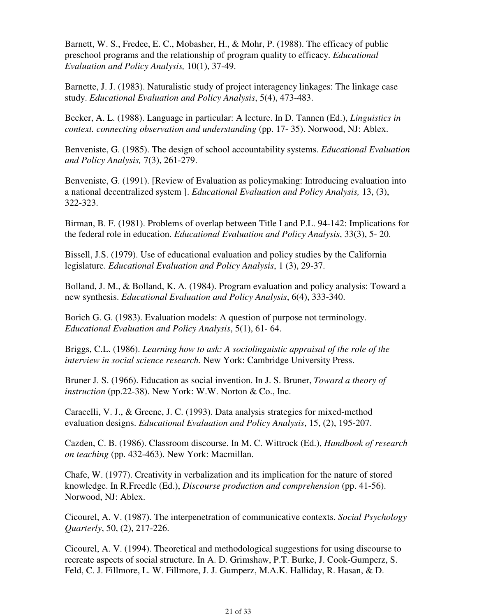Barnett, W. S., Fredee, E. C., Mobasher, H., & Mohr, P. (1988). The efficacy of public preschool programs and the relationship of program quality to efficacy. *Educational Evaluation and Policy Analysis,* 10(1), 37-49.

Barnette, J. J. (1983). Naturalistic study of project interagency linkages: The linkage case study. *Educational Evaluation and Policy Analysis*, 5(4), 473-483.

Becker, A. L. (1988). Language in particular: A lecture. In D. Tannen (Ed.), *Linguistics in context. connecting observation and understanding* (pp. 17- 35). Norwood, NJ: Ablex.

Benveniste, G. (1985). The design of school accountability systems. *Educational Evaluation and Policy Analysis,* 7(3), 261-279.

Benveniste, G. (1991). [Review of Evaluation as policymaking: Introducing evaluation into a national decentralized system ]. *Educational Evaluation and Policy Analysis,* 13, (3), 322-323.

Birman, B. F. (1981). Problems of overlap between Title I and P.L. 94-142: Implications for the federal role in education. *Educational Evaluation and Policy Analysis*, 33(3), 5- 20.

Bissell, J.S. (1979). Use of educational evaluation and policy studies by the California legislature. *Educational Evaluation and Policy Analysis*, 1 (3), 29-37.

Bolland, J. M., & Bolland, K. A. (1984). Program evaluation and policy analysis: Toward a new synthesis. *Educational Evaluation and Policy Analysis*, 6(4), 333-340.

Borich G. G. (1983). Evaluation models: A question of purpose not terminology. *Educational Evaluation and Policy Analysis*, 5(1), 61- 64.

Briggs, C.L. (1986). *Learning how to ask: A sociolinguistic appraisal of the role of the interview in social science research.* New York: Cambridge University Press.

Bruner J. S. (1966). Education as social invention. In J. S. Bruner, *Toward a theory of instruction* (pp.22-38). New York: W.W. Norton & Co., Inc.

Caracelli, V. J., & Greene, J. C. (1993). Data analysis strategies for mixed-method evaluation designs. *Educational Evaluation and Policy Analysis*, 15, (2), 195-207.

Cazden, C. B. (1986). Classroom discourse. In M. C. Wittrock (Ed.), *Handbook of research on teaching* (pp. 432-463). New York: Macmillan.

Chafe, W. (1977). Creativity in verbalization and its implication for the nature of stored knowledge. In R.Freedle (Ed.), *Discourse production and comprehension* (pp. 41-56). Norwood, NJ: Ablex.

Cicourel, A. V. (1987). The interpenetration of communicative contexts. *Social Psychology Quarterly*, 50, (2), 217-226.

Cicourel, A. V. (1994). Theoretical and methodological suggestions for using discourse to recreate aspects of social structure. In A. D. Grimshaw, P.T. Burke, J. Cook-Gumperz, S. Feld, C. J. Fillmore, L. W. Fillmore, J. J. Gumperz, M.A.K. Halliday, R. Hasan, & D.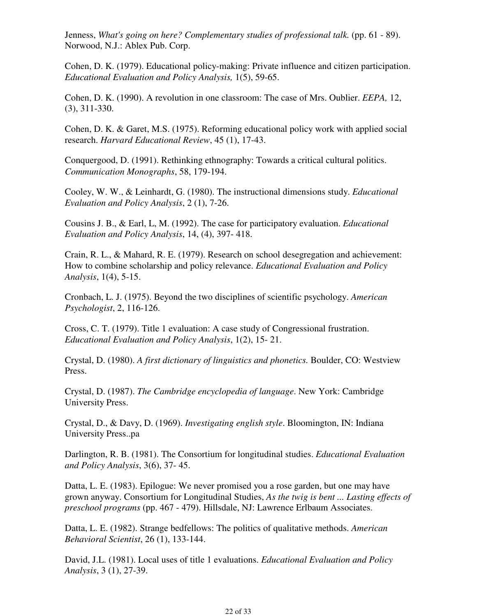Jenness, *What's going on here? Complementary studies of professional talk.* (pp. 61 - 89). Norwood, N.J.: Ablex Pub. Corp.

Cohen, D. K. (1979). Educational policy-making: Private influence and citizen participation. *Educational Evaluation and Policy Analysis,* 1(5), 59-65.

Cohen, D. K. (1990). A revolution in one classroom: The case of Mrs. Oublier. *EEPA,* 12, (3), 311-330.

Cohen, D. K. & Garet, M.S. (1975). Reforming educational policy work with applied social research. *Harvard Educational Review*, 45 (1), 17-43.

Conquergood, D. (1991). Rethinking ethnography: Towards a critical cultural politics. *Communication Monographs*, 58, 179-194.

Cooley, W. W., & Leinhardt, G. (1980). The instructional dimensions study. *Educational Evaluation and Policy Analysis*, 2 (1), 7-26.

Cousins J. B., & Earl, L, M. (1992). The case for participatory evaluation. *Educational Evaluation and Policy Analysis*, 14, (4), 397- 418.

Crain, R. L., & Mahard, R. E. (1979). Research on school desegregation and achievement: How to combine scholarship and policy relevance. *Educational Evaluation and Policy Analysis*, 1(4), 5-15.

Cronbach, L. J. (1975). Beyond the two disciplines of scientific psychology. *American Psychologist*, 2, 116-126.

Cross, C. T. (1979). Title 1 evaluation: A case study of Congressional frustration. *Educational Evaluation and Policy Analysis*, 1(2), 15- 21.

Crystal, D. (1980). *A first dictionary of linguistics and phonetics.* Boulder, CO: Westview Press.

Crystal, D. (1987). *The Cambridge encyclopedia of language*. New York: Cambridge University Press.

Crystal, D., & Davy, D. (1969). *Investigating english style*. Bloomington, IN: Indiana University Press..pa

Darlington, R. B. (1981). The Consortium for longitudinal studies. *Educational Evaluation and Policy Analysis*, 3(6), 37- 45.

Datta, L. E. (1983). Epilogue: We never promised you a rose garden, but one may have grown anyway. Consortium for Longitudinal Studies, *As the twig is bent ... Lasting effects of preschool programs* (pp. 467 - 479). Hillsdale, NJ: Lawrence Erlbaum Associates.

Datta, L. E. (1982). Strange bedfellows: The politics of qualitative methods. *American Behavioral Scientist*, 26 (1), 133-144.

David, J.L. (1981). Local uses of title 1 evaluations. *Educational Evaluation and Policy Analysis*, 3 (1), 27-39.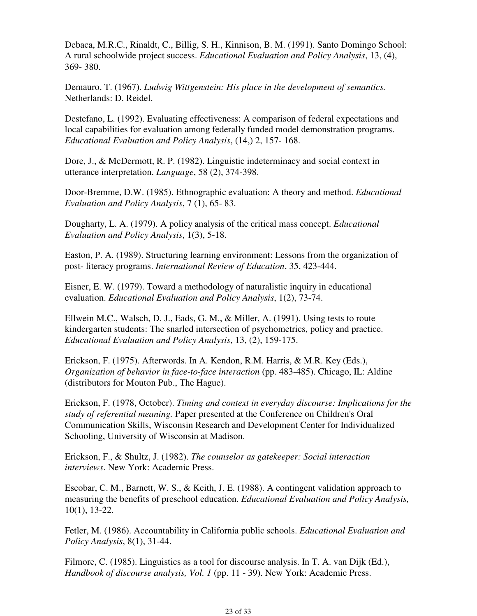Debaca, M.R.C., Rinaldt, C., Billig, S. H., Kinnison, B. M. (1991). Santo Domingo School: A rural schoolwide project success. *Educational Evaluation and Policy Analysis*, 13, (4), 369- 380.

Demauro, T. (1967). *Ludwig Wittgenstein: His place in the development of semantics.* Netherlands: D. Reidel.

Destefano, L. (1992). Evaluating effectiveness: A comparison of federal expectations and local capabilities for evaluation among federally funded model demonstration programs. *Educational Evaluation and Policy Analysis*, (14,) 2, 157- 168.

Dore, J., & McDermott, R. P. (1982). Linguistic indeterminacy and social context in utterance interpretation. *Language*, 58 (2), 374-398.

Door-Bremme, D.W. (1985). Ethnographic evaluation: A theory and method. *Educational Evaluation and Policy Analysis*, 7 (1), 65- 83.

Dougharty, L. A. (1979). A policy analysis of the critical mass concept. *Educational Evaluation and Policy Analysis*, 1(3), 5-18.

Easton, P. A. (1989). Structuring learning environment: Lessons from the organization of post- literacy programs. *International Review of Education*, 35, 423-444.

Eisner, E. W. (1979). Toward a methodology of naturalistic inquiry in educational evaluation. *Educational Evaluation and Policy Analysis*, 1(2), 73-74.

Ellwein M.C., Walsch, D. J., Eads, G. M., & Miller, A. (1991). Using tests to route kindergarten students: The snarled intersection of psychometrics, policy and practice. *Educational Evaluation and Policy Analysis*, 13, (2), 159-175.

Erickson, F. (1975). Afterwords. In A. Kendon, R.M. Harris, & M.R. Key (Eds.), *Organization of behavior in face-to-face interaction* (pp. 483-485). Chicago, IL: Aldine (distributors for Mouton Pub., The Hague).

Erickson, F. (1978, October). *Timing and context in everyday discourse: Implications for the study of referential meaning.* Paper presented at the Conference on Children's Oral Communication Skills, Wisconsin Research and Development Center for Individualized Schooling, University of Wisconsin at Madison.

Erickson, F., & Shultz, J. (1982). *The counselor as gatekeeper: Social interaction interviews*. New York: Academic Press.

Escobar, C. M., Barnett, W. S., & Keith, J. E. (1988). A contingent validation approach to measuring the benefits of preschool education. *Educational Evaluation and Policy Analysis,* 10(1), 13-22.

Fetler, M. (1986). Accountability in California public schools. *Educational Evaluation and Policy Analysis*, 8(1), 31-44.

Filmore, C. (1985). Linguistics as a tool for discourse analysis. In T. A. van Dijk (Ed.), *Handbook of discourse analysis, Vol. 1* (pp. 11 - 39). New York: Academic Press.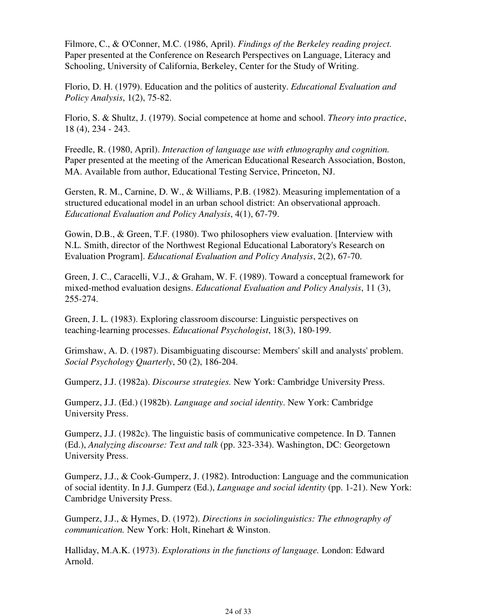Filmore, C., & O'Conner, M.C. (1986, April). *Findings of the Berkeley reading project.* Paper presented at the Conference on Research Perspectives on Language, Literacy and Schooling, University of California, Berkeley, Center for the Study of Writing.

Florio, D. H. (1979). Education and the politics of austerity. *Educational Evaluation and Policy Analysis*, 1(2), 75-82.

Florio, S. & Shultz, J. (1979). Social competence at home and school. *Theory into practice*, 18 (4), 234 - 243.

Freedle, R. (1980, April). *Interaction of language use with ethnography and cognition.* Paper presented at the meeting of the American Educational Research Association, Boston, MA. Available from author, Educational Testing Service, Princeton, NJ.

Gersten, R. M., Carnine, D. W., & Williams, P.B. (1982). Measuring implementation of a structured educational model in an urban school district: An observational approach. *Educational Evaluation and Policy Analysis*, 4(1), 67-79.

Gowin, D.B., & Green, T.F. (1980). Two philosophers view evaluation. [Interview with N.L. Smith, director of the Northwest Regional Educational Laboratory's Research on Evaluation Program]. *Educational Evaluation and Policy Analysis*, 2(2), 67-70.

Green, J. C., Caracelli, V.J., & Graham, W. F. (1989). Toward a conceptual framework for mixed-method evaluation designs. *Educational Evaluation and Policy Analysis*, 11 (3), 255-274.

Green, J. L. (1983). Exploring classroom discourse: Linguistic perspectives on teaching-learning processes. *Educational Psychologist*, 18(3), 180-199.

Grimshaw, A. D. (1987). Disambiguating discourse: Members' skill and analysts' problem. *Social Psychology Quarterly*, 50 (2), 186-204.

Gumperz, J.J. (1982a). *Discourse strategies.* New York: Cambridge University Press.

Gumperz, J.J. (Ed.) (1982b). *Language and social identity*. New York: Cambridge University Press.

Gumperz, J.J. (1982c). The linguistic basis of communicative competence. In D. Tannen (Ed.), *Analyzing discourse: Text and talk* (pp. 323-334). Washington, DC: Georgetown University Press.

Gumperz, J.J., & Cook-Gumperz, J. (1982). Introduction: Language and the communication of social identity. In J.J. Gumperz (Ed.), *Language and social identity* (pp. 1-21). New York: Cambridge University Press.

Gumperz, J.J., & Hymes, D. (1972). *Directions in sociolinguistics: The ethnography of communication.* New York: Holt, Rinehart & Winston.

Halliday, M.A.K. (1973). *Explorations in the functions of language.* London: Edward Arnold.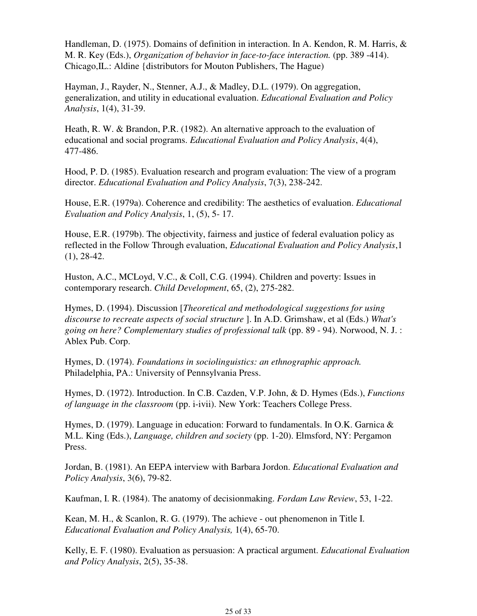Handleman, D. (1975). Domains of definition in interaction. In A. Kendon, R. M. Harris, & M. R. Key (Eds.), *Organization of behavior in face-to-face interaction.* (pp. 389 -414). Chicago,IL.: Aldine {distributors for Mouton Publishers, The Hague)

Hayman, J., Rayder, N., Stenner, A.J., & Madley, D.L. (1979). On aggregation, generalization, and utility in educational evaluation. *Educational Evaluation and Policy Analysis*, 1(4), 31-39.

Heath, R. W. & Brandon, P.R. (1982). An alternative approach to the evaluation of educational and social programs. *Educational Evaluation and Policy Analysis*, 4(4), 477-486.

Hood, P. D. (1985). Evaluation research and program evaluation: The view of a program director. *Educational Evaluation and Policy Analysis*, 7(3), 238-242.

House, E.R. (1979a). Coherence and credibility: The aesthetics of evaluation. *Educational Evaluation and Policy Analysis*, 1, (5), 5- 17.

House, E.R. (1979b). The objectivity, fairness and justice of federal evaluation policy as reflected in the Follow Through evaluation, *Educational Evaluation and Policy Analysis*,1 (1), 28-42.

Huston, A.C., MCLoyd, V.C., & Coll, C.G. (1994). Children and poverty: Issues in contemporary research. *Child Development*, 65, (2), 275-282.

Hymes, D. (1994). Discussion [*Theoretical and methodological suggestions for using discourse to recreate aspects of social structure* ]. In A.D. Grimshaw, et al (Eds.) *What's going on here? Complementary studies of professional talk* (pp. 89 - 94). Norwood, N. J. : Ablex Pub. Corp.

Hymes, D. (1974). *Foundations in sociolinguistics: an ethnographic approach.* Philadelphia, PA.: University of Pennsylvania Press.

Hymes, D. (1972). Introduction. In C.B. Cazden, V.P. John, & D. Hymes (Eds.), *Functions of language in the classroom* (pp. i-ivii). New York: Teachers College Press.

Hymes, D. (1979). Language in education: Forward to fundamentals. In O.K. Garnica & M.L. King (Eds.), *Language, children and society* (pp. 1-20). Elmsford, NY: Pergamon Press.

Jordan, B. (1981). An EEPA interview with Barbara Jordon. *Educational Evaluation and Policy Analysis*, 3(6), 79-82.

Kaufman, I. R. (1984). The anatomy of decisionmaking. *Fordam Law Review*, 53, 1-22.

Kean, M. H., & Scanlon, R. G. (1979). The achieve - out phenomenon in Title I. *Educational Evaluation and Policy Analysis,* 1(4), 65-70.

Kelly, E. F. (1980). Evaluation as persuasion: A practical argument. *Educational Evaluation and Policy Analysis*, 2(5), 35-38.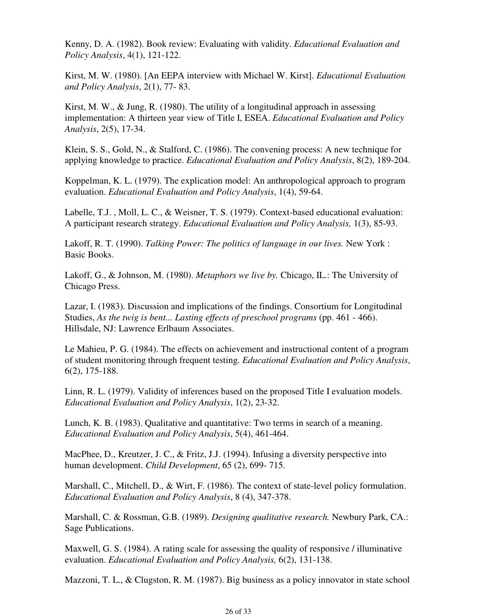Kenny, D. A. (1982). Book review: Evaluating with validity. *Educational Evaluation and Policy Analysis*, 4(1), 121-122.

Kirst, M. W. (1980). [An EEPA interview with Michael W. Kirst]. *Educational Evaluation and Policy Analysis*, 2(1), 77- 83.

Kirst, M. W., & Jung, R. (1980). The utility of a longitudinal approach in assessing implementation: A thirteen year view of Title I, ESEA. *Educational Evaluation and Policy Analysis*, 2(5), 17-34.

Klein, S. S., Gold, N., & Stalford, C. (1986). The convening process: A new technique for applying knowledge to practice. *Educational Evaluation and Policy Analysis*, 8(2), 189-204.

Koppelman, K. L. (1979). The explication model: An anthropological approach to program evaluation. *Educational Evaluation and Policy Analysis*, 1(4), 59-64.

Labelle, T.J. , Moll, L. C., & Weisner, T. S. (1979). Context-based educational evaluation: A participant research strategy. *Educational Evaluation and Policy Analysis,* 1(3), 85-93.

Lakoff, R. T. (1990). *Talking Power: The politics of language in our lives*. New York : Basic Books.

Lakoff, G., & Johnson, M. (1980). *Metaphors we live by.* Chicago, IL.: The University of Chicago Press.

Lazar, I. (1983). Discussion and implications of the findings. Consortium for Longitudinal Studies, *As the twig is bent... Lasting effects of preschool programs* (pp. 461 - 466). Hillsdale, NJ: Lawrence Erlbaum Associates.

Le Mahieu, P. G. (1984). The effects on achievement and instructional content of a program of student monitoring through frequent testing. *Educational Evaluation and Policy Analysis*, 6(2), 175-188.

Linn, R. L. (1979). Validity of inferences based on the proposed Title I evaluation models. *Educational Evaluation and Policy Analysis*, 1(2), 23-32.

Lunch, K. B. (1983). Qualitative and quantitative: Two terms in search of a meaning. *Educational Evaluation and Policy Analysis*, 5(4), 461-464.

MacPhee, D., Kreutzer, J. C., & Fritz, J.J. (1994). Infusing a diversity perspective into human development. *Child Development*, 65 (2), 699- 715.

Marshall, C., Mitchell, D., & Wirt, F. (1986). The context of state-level policy formulation. *Educational Evaluation and Policy Analysis*, 8 (4), 347-378.

Marshall, C. & Rossman, G.B. (1989). *Designing qualitative research.* Newbury Park, CA.: Sage Publications.

Maxwell, G. S. (1984). A rating scale for assessing the quality of responsive / illuminative evaluation. *Educational Evaluation and Policy Analysis,* 6(2), 131-138.

Mazzoni, T. L., & Clugston, R. M. (1987). Big business as a policy innovator in state school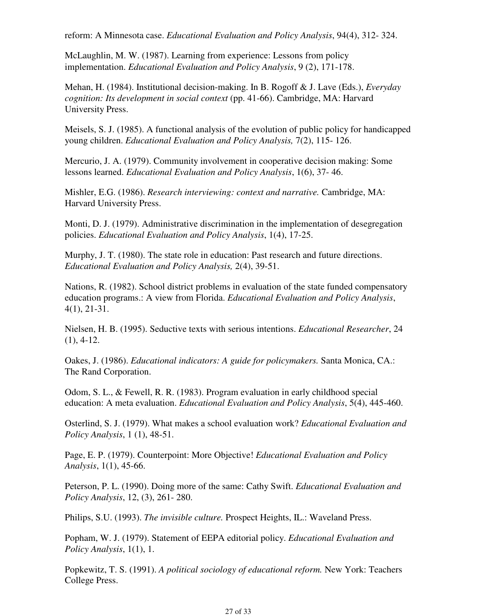reform: A Minnesota case. *Educational Evaluation and Policy Analysis*, 94(4), 312- 324.

McLaughlin, M. W. (1987). Learning from experience: Lessons from policy implementation. *Educational Evaluation and Policy Analysis*, 9 (2), 171-178.

Mehan, H. (1984). Institutional decision-making. In B. Rogoff & J. Lave (Eds.), *Everyday cognition: Its development in social context* (pp. 41-66). Cambridge, MA: Harvard University Press.

Meisels, S. J. (1985). A functional analysis of the evolution of public policy for handicapped young children. *Educational Evaluation and Policy Analysis,* 7(2), 115- 126.

Mercurio, J. A. (1979). Community involvement in cooperative decision making: Some lessons learned. *Educational Evaluation and Policy Analysis*, 1(6), 37- 46.

Mishler, E.G. (1986). *Research interviewing: context and narrative.* Cambridge, MA: Harvard University Press.

Monti, D. J. (1979). Administrative discrimination in the implementation of desegregation policies. *Educational Evaluation and Policy Analysis*, 1(4), 17-25.

Murphy, J. T. (1980). The state role in education: Past research and future directions. *Educational Evaluation and Policy Analysis,* 2(4), 39-51.

Nations, R. (1982). School district problems in evaluation of the state funded compensatory education programs.: A view from Florida. *Educational Evaluation and Policy Analysis*, 4(1), 21-31.

Nielsen, H. B. (1995). Seductive texts with serious intentions. *Educational Researcher*, 24  $(1), 4-12.$ 

Oakes, J. (1986). *Educational indicators: A guide for policymakers.* Santa Monica, CA.: The Rand Corporation.

Odom, S. L., & Fewell, R. R. (1983). Program evaluation in early childhood special education: A meta evaluation. *Educational Evaluation and Policy Analysis*, 5(4), 445-460.

Osterlind, S. J. (1979). What makes a school evaluation work? *Educational Evaluation and Policy Analysis*, 1 (1), 48-51.

Page, E. P. (1979). Counterpoint: More Objective! *Educational Evaluation and Policy Analysis*, 1(1), 45-66.

Peterson, P. L. (1990). Doing more of the same: Cathy Swift. *Educational Evaluation and Policy Analysis*, 12, (3), 261- 280.

Philips, S.U. (1993). *The invisible culture.* Prospect Heights, IL.: Waveland Press.

Popham, W. J. (1979). Statement of EEPA editorial policy. *Educational Evaluation and Policy Analysis*, 1(1), 1.

Popkewitz, T. S. (1991). *A political sociology of educational reform.* New York: Teachers College Press.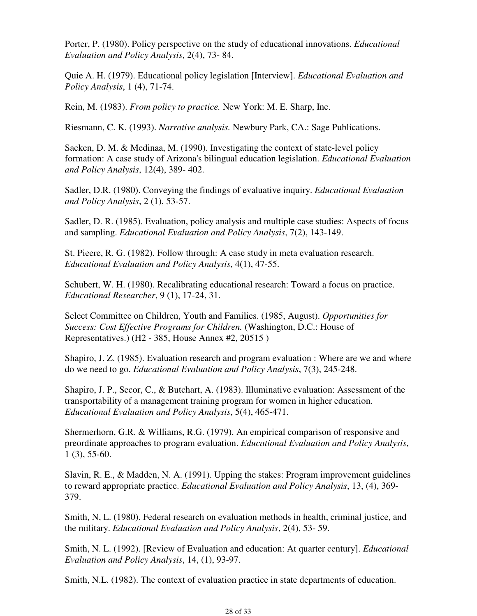Porter, P. (1980). Policy perspective on the study of educational innovations. *Educational Evaluation and Policy Analysis*, 2(4), 73- 84.

Quie A. H. (1979). Educational policy legislation [Interview]. *Educational Evaluation and Policy Analysis*, 1 (4), 71-74.

Rein, M. (1983). *From policy to practice.* New York: M. E. Sharp, Inc.

Riesmann, C. K. (1993). *Narrative analysis.* Newbury Park, CA.: Sage Publications.

Sacken, D. M. & Medinaa, M. (1990). Investigating the context of state-level policy formation: A case study of Arizona's bilingual education legislation. *Educational Evaluation and Policy Analysis*, 12(4), 389- 402.

Sadler, D.R. (1980). Conveying the findings of evaluative inquiry. *Educational Evaluation and Policy Analysis*, 2 (1), 53-57.

Sadler, D. R. (1985). Evaluation, policy analysis and multiple case studies: Aspects of focus and sampling. *Educational Evaluation and Policy Analysis*, 7(2), 143-149.

St. Pieere, R. G. (1982). Follow through: A case study in meta evaluation research. *Educational Evaluation and Policy Analysis*, 4(1), 47-55.

Schubert, W. H. (1980). Recalibrating educational research: Toward a focus on practice. *Educational Researcher*, 9 (1), 17-24, 31.

Select Committee on Children, Youth and Families. (1985, August). *Opportunities for Success: Cost Effective Programs for Children.* (Washington, D.C.: House of Representatives.) (H2 - 385, House Annex #2, 20515 )

Shapiro, J. Z. (1985). Evaluation research and program evaluation : Where are we and where do we need to go. *Educational Evaluation and Policy Analysis*, 7(3), 245-248.

Shapiro, J. P., Secor, C., & Butchart, A. (1983). Illuminative evaluation: Assessment of the transportability of a management training program for women in higher education. *Educational Evaluation and Policy Analysis*, 5(4), 465-471.

Shermerhorn, G.R. & Williams, R.G. (1979). An empirical comparison of responsive and preordinate approaches to program evaluation. *Educational Evaluation and Policy Analysis*, 1 (3), 55-60.

Slavin, R. E., & Madden, N. A. (1991). Upping the stakes: Program improvement guidelines to reward appropriate practice. *Educational Evaluation and Policy Analysis*, 13, (4), 369- 379.

Smith, N, L. (1980). Federal research on evaluation methods in health, criminal justice, and the military. *Educational Evaluation and Policy Analysis*, 2(4), 53- 59.

Smith, N. L. (1992). [Review of Evaluation and education: At quarter century]. *Educational Evaluation and Policy Analysis*, 14, (1), 93-97.

Smith, N.L. (1982). The context of evaluation practice in state departments of education.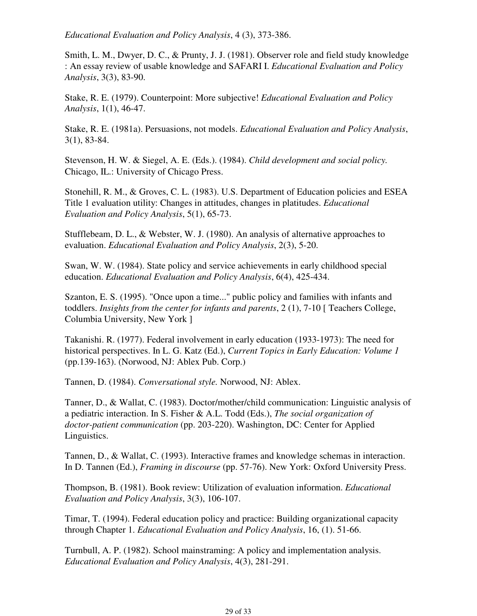*Educational Evaluation and Policy Analysis*, 4 (3), 373-386.

Smith, L. M., Dwyer, D. C., & Prunty, J. J. (1981). Observer role and field study knowledge : An essay review of usable knowledge and SAFARI I. *Educational Evaluation and Policy Analysis*, 3(3), 83-90.

Stake, R. E. (1979). Counterpoint: More subjective! *Educational Evaluation and Policy Analysis*, 1(1), 46-47.

Stake, R. E. (1981a). Persuasions, not models. *Educational Evaluation and Policy Analysis*, 3(1), 83-84.

Stevenson, H. W. & Siegel, A. E. (Eds.). (1984). *Child development and social policy.* Chicago, IL.: University of Chicago Press.

Stonehill, R. M., & Groves, C. L. (1983). U.S. Department of Education policies and ESEA Title 1 evaluation utility: Changes in attitudes, changes in platitudes. *Educational Evaluation and Policy Analysis*, 5(1), 65-73.

Stufflebeam, D. L., & Webster, W. J. (1980). An analysis of alternative approaches to evaluation. *Educational Evaluation and Policy Analysis*, 2(3), 5-20.

Swan, W. W. (1984). State policy and service achievements in early childhood special education. *Educational Evaluation and Policy Analysis*, 6(4), 425-434.

Szanton, E. S. (1995). "Once upon a time..." public policy and families with infants and toddlers. *Insights from the center for infants and parents*, 2 (1), 7-10 [ Teachers College, Columbia University, New York ]

Takanishi. R. (1977). Federal involvement in early education (1933-1973): The need for historical perspectives. In L. G. Katz (Ed.), *Current Topics in Early Education: Volume 1* (pp.139-163). (Norwood, NJ: Ablex Pub. Corp.)

Tannen, D. (1984). *Conversational style.* Norwood, NJ: Ablex.

Tanner, D., & Wallat, C. (1983). Doctor/mother/child communication: Linguistic analysis of a pediatric interaction. In S. Fisher & A.L. Todd (Eds.), *The social organization of doctor-patient communication* (pp. 203-220). Washington, DC: Center for Applied Linguistics.

Tannen, D., & Wallat, C. (1993). Interactive frames and knowledge schemas in interaction. In D. Tannen (Ed.), *Framing in discourse* (pp. 57-76). New York: Oxford University Press.

Thompson, B. (1981). Book review: Utilization of evaluation information. *Educational Evaluation and Policy Analysis*, 3(3), 106-107.

Timar, T. (1994). Federal education policy and practice: Building organizational capacity through Chapter 1. *Educational Evaluation and Policy Analysis*, 16, (1). 51-66.

Turnbull, A. P. (1982). School mainstraming: A policy and implementation analysis. *Educational Evaluation and Policy Analysis*, 4(3), 281-291.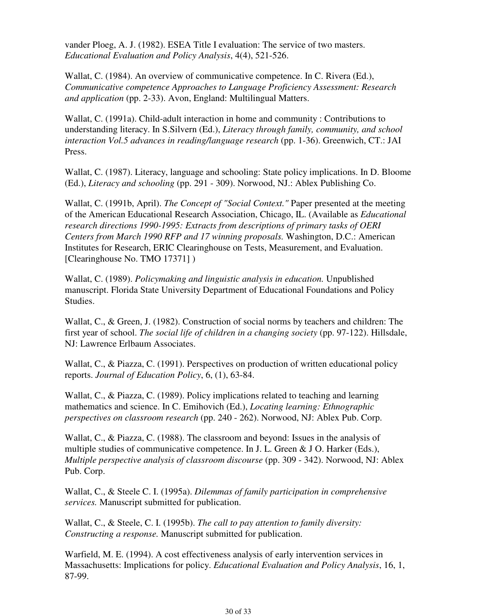vander Ploeg, A. J. (1982). ESEA Title I evaluation: The service of two masters. *Educational Evaluation and Policy Analysis*, 4(4), 521-526.

Wallat, C. (1984). An overview of communicative competence. In C. Rivera (Ed.), *Communicative competence Approaches to Language Proficiency Assessment: Research and application* (pp. 2-33). Avon, England: Multilingual Matters.

Wallat, C. (1991a). Child-adult interaction in home and community : Contributions to understanding literacy. In S.Silvern (Ed.), *Literacy through family, community, and school interaction Vol.5 advances in reading/language research* (pp. 1-36). Greenwich, CT.: JAI Press.

Wallat, C. (1987). Literacy, language and schooling: State policy implications. In D. Bloome (Ed.), *Literacy and schooling* (pp. 291 - 309). Norwood, NJ.: Ablex Publishing Co.

Wallat, C. (1991b, April). *The Concept of "Social Context."* Paper presented at the meeting of the American Educational Research Association, Chicago, IL. (Available as *Educational research directions 1990-1995: Extracts from descriptions of primary tasks of OERI Centers from March 1990 RFP and 17 winning proposals.* Washington, D.C.: American Institutes for Research, ERIC Clearinghouse on Tests, Measurement, and Evaluation. [Clearinghouse No. TMO 17371])

Wallat, C. (1989). *Policymaking and linguistic analysis in education.* Unpublished manuscript. Florida State University Department of Educational Foundations and Policy Studies.

Wallat, C., & Green, J. (1982). Construction of social norms by teachers and children: The first year of school. *The social life of children in a changing society* (pp. 97-122). Hillsdale, NJ: Lawrence Erlbaum Associates.

Wallat, C., & Piazza, C. (1991). Perspectives on production of written educational policy reports. *Journal of Education Policy*, 6, (1), 63-84.

Wallat, C., & Piazza, C. (1989). Policy implications related to teaching and learning mathematics and science. In C. Emihovich (Ed.), *Locating learning: Ethnographic perspectives on classroom research* (pp. 240 - 262). Norwood, NJ: Ablex Pub. Corp.

Wallat, C., & Piazza, C. (1988). The classroom and beyond: Issues in the analysis of multiple studies of communicative competence. In J. L. Green & J O. Harker (Eds.), *Multiple perspective analysis of classroom discourse* (pp. 309 - 342). Norwood, NJ: Ablex Pub. Corp.

Wallat, C., & Steele C. I. (1995a). *Dilemmas of family participation in comprehensive services.* Manuscript submitted for publication.

Wallat, C., & Steele, C. I. (1995b). *The call to pay attention to family diversity: Constructing a response.* Manuscript submitted for publication.

Warfield, M. E. (1994). A cost effectiveness analysis of early intervention services in Massachusetts: Implications for policy. *Educational Evaluation and Policy Analysis*, 16, 1, 87-99.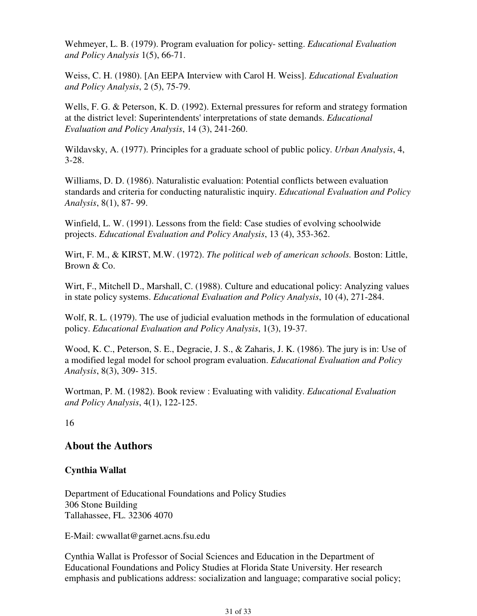Wehmeyer, L. B. (1979). Program evaluation for policy- setting. *Educational Evaluation and Policy Analysis* 1(5), 66-71.

Weiss, C. H. (1980). [An EEPA Interview with Carol H. Weiss]. *Educational Evaluation and Policy Analysis*, 2 (5), 75-79.

Wells, F. G. & Peterson, K. D. (1992). External pressures for reform and strategy formation at the district level: Superintendents' interpretations of state demands. *Educational Evaluation and Policy Analysis*, 14 (3), 241-260.

Wildavsky, A. (1977). Principles for a graduate school of public policy. *Urban Analysis*, 4, 3-28.

Williams, D. D. (1986). Naturalistic evaluation: Potential conflicts between evaluation standards and criteria for conducting naturalistic inquiry. *Educational Evaluation and Policy Analysis*, 8(1), 87- 99.

Winfield, L. W. (1991). Lessons from the field: Case studies of evolving schoolwide projects. *Educational Evaluation and Policy Analysis*, 13 (4), 353-362.

Wirt, F. M., & KIRST, M.W. (1972). *The political web of american schools.* Boston: Little, Brown & Co.

Wirt, F., Mitchell D., Marshall, C. (1988). Culture and educational policy: Analyzing values in state policy systems. *Educational Evaluation and Policy Analysis*, 10 (4), 271-284.

Wolf, R. L. (1979). The use of judicial evaluation methods in the formulation of educational policy. *Educational Evaluation and Policy Analysis*, 1(3), 19-37.

Wood, K. C., Peterson, S. E., Degracie, J. S., & Zaharis, J. K. (1986). The jury is in: Use of a modified legal model for school program evaluation. *Educational Evaluation and Policy Analysis*, 8(3), 309- 315.

Wortman, P. M. (1982). Book review : Evaluating with validity. *Educational Evaluation and Policy Analysis*, 4(1), 122-125.

16

# **About the Authors**

# **Cynthia Wallat**

Department of Educational Foundations and Policy Studies 306 Stone Building Tallahassee, FL. 32306 4070

E-Mail: cwwallat@garnet.acns.fsu.edu

Cynthia Wallat is Professor of Social Sciences and Education in the Department of Educational Foundations and Policy Studies at Florida State University. Her research emphasis and publications address: socialization and language; comparative social policy;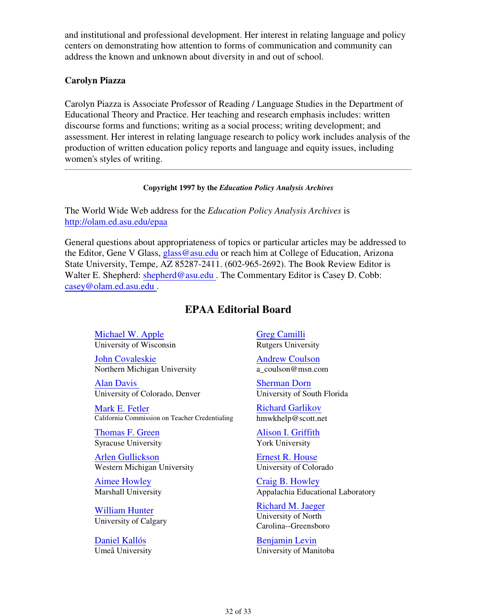and institutional and professional development. Her interest in relating language and policy centers on demonstrating how attention to forms of communication and community can address the known and unknown about diversity in and out of school.

### **Carolyn Piazza**

Carolyn Piazza is Associate Professor of Reading / Language Studies in the Department of Educational Theory and Practice. Her teaching and research emphasis includes: written discourse forms and functions; writing as a social process; writing development; and assessment. Her interest in relating language research to policy work includes analysis of the production of written education policy reports and language and equity issues, including women's styles of writing.

#### **Copyright 1997 by the** *Education Policy Analysis Archives*

The World Wide Web address for the *Education Policy Analysis Archives* is http://olam.ed.asu.edu/epaa

General questions about appropriateness of topics or particular articles may be addressed to the Editor, Gene V Glass, glass@asu.edu or reach him at College of Education, Arizona State University, Tempe, AZ 85287-2411. (602-965-2692). The Book Review Editor is Walter E. Shepherd: shepherd@asu.edu. The Commentary Editor is Casey D. Cobb: casey@olam.ed.asu.edu .

# **EPAA Editorial Board**

Michael W. Apple University of Wisconsin

John Covaleskie Northern Michigan University

Alan Davis University of Colorado, Denver

Mark E. Fetler California Commission on Teacher Credentialing

Thomas F. Green Syracuse University

Arlen Gullickson Western Michigan University

Aimee Howley Marshall University

William Hunter University of Calgary

Daniel Kallós Umeå University Greg Camilli Rutgers University

Andrew Coulson a\_coulson@msn.com

Sherman Dorn University of South Florida

Richard Garlikov hmwkhelp@scott.net

Alison I. Griffith York University

Ernest R. House University of Colorado

Craig B. Howley Appalachia Educational Laboratory

Richard M. Jaeger University of North Carolina--Greensboro

Benjamin Levin University of Manitoba